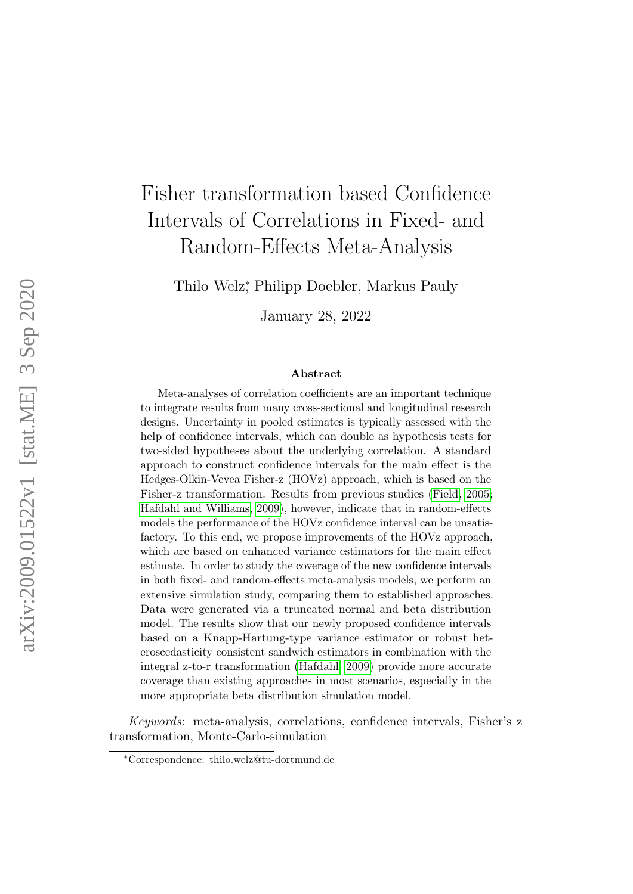# Fisher transformation based Confidence Intervals of Correlations in Fixed- and Random-Effects Meta-Analysis

Thilo Welz<sup>∗</sup> , Philipp Doebler, Markus Pauly

January 28, 2022

#### Abstract

Meta-analyses of correlation coefficients are an important technique to integrate results from many cross-sectional and longitudinal research designs. Uncertainty in pooled estimates is typically assessed with the help of confidence intervals, which can double as hypothesis tests for two-sided hypotheses about the underlying correlation. A standard approach to construct confidence intervals for the main effect is the Hedges-Olkin-Vevea Fisher-z (HOVz) approach, which is based on the Fisher-z transformation. Results from previous studies [\(Field, 2005;](#page-23-0) [Hafdahl and Williams, 2009\)](#page-24-0), however, indicate that in random-effects models the performance of the HOVz confidence interval can be unsatisfactory. To this end, we propose improvements of the HOVz approach, which are based on enhanced variance estimators for the main effect estimate. In order to study the coverage of the new confidence intervals in both fixed- and random-effects meta-analysis models, we perform an extensive simulation study, comparing them to established approaches. Data were generated via a truncated normal and beta distribution model. The results show that our newly proposed confidence intervals based on a Knapp-Hartung-type variance estimator or robust heteroscedasticity consistent sandwich estimators in combination with the integral z-to-r transformation [\(Hafdahl, 2009\)](#page-23-1) provide more accurate coverage than existing approaches in most scenarios, especially in the more appropriate beta distribution simulation model.

Keywords: meta-analysis, correlations, confidence intervals, Fisher's z transformation, Monte-Carlo-simulation

<sup>∗</sup>Correspondence: thilo.welz@tu-dortmund.de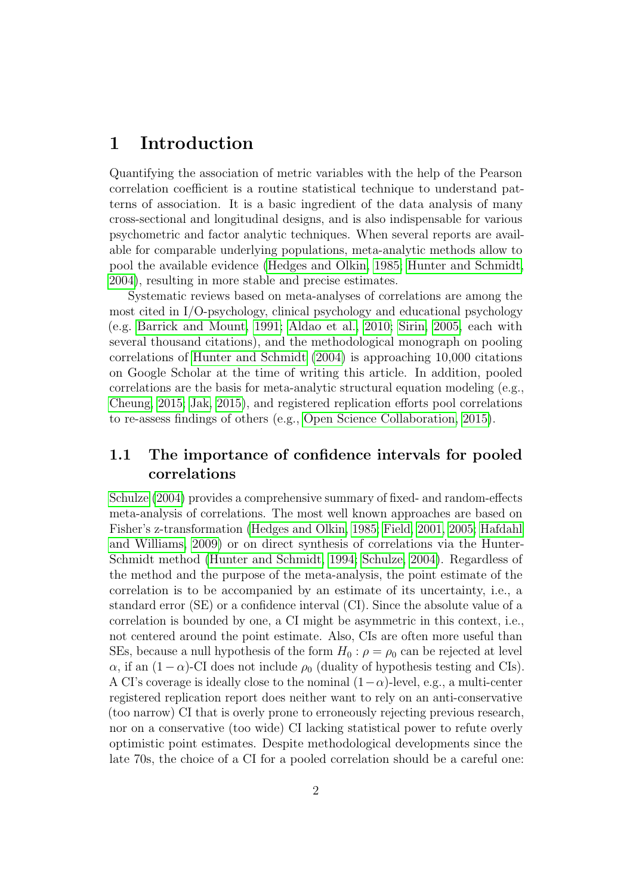### 1 Introduction

Quantifying the association of metric variables with the help of the Pearson correlation coefficient is a routine statistical technique to understand patterns of association. It is a basic ingredient of the data analysis of many cross-sectional and longitudinal designs, and is also indispensable for various psychometric and factor analytic techniques. When several reports are available for comparable underlying populations, meta-analytic methods allow to pool the available evidence [\(Hedges and Olkin, 1985;](#page-24-1) [Hunter and Schmidt,](#page-24-2) [2004\)](#page-24-2), resulting in more stable and precise estimates.

Systematic reviews based on meta-analyses of correlations are among the most cited in I/O-psychology, clinical psychology and educational psychology (e.g. [Barrick and Mount, 1991;](#page-23-2) [Aldao et al., 2010;](#page-23-3) [Sirin, 2005,](#page-26-0) each with several thousand citations), and the methodological monograph on pooling correlations of [Hunter and Schmidt](#page-24-2) [\(2004\)](#page-24-2) is approaching 10,000 citations on Google Scholar at the time of writing this article. In addition, pooled correlations are the basis for meta-analytic structural equation modeling (e.g., [Cheung, 2015;](#page-23-4) [Jak, 2015\)](#page-24-3), and registered replication efforts pool correlations to re-assess findings of others (e.g., [Open Science Collaboration, 2015\)](#page-25-0).

### 1.1 The importance of confidence intervals for pooled correlations

[Schulze](#page-25-1) [\(2004\)](#page-25-1) provides a comprehensive summary of fixed- and random-effects meta-analysis of correlations. The most well known approaches are based on Fisher's z-transformation [\(Hedges and Olkin, 1985;](#page-24-1) [Field, 2001,](#page-23-5) [2005;](#page-23-0) [Hafdahl](#page-24-0) [and Williams, 2009\)](#page-24-0) or on direct synthesis of correlations via the Hunter-Schmidt method [\(Hunter and Schmidt, 1994;](#page-24-4) [Schulze, 2004\)](#page-25-1). Regardless of the method and the purpose of the meta-analysis, the point estimate of the correlation is to be accompanied by an estimate of its uncertainty, i.e., a standard error (SE) or a confidence interval (CI). Since the absolute value of a correlation is bounded by one, a CI might be asymmetric in this context, i.e., not centered around the point estimate. Also, CIs are often more useful than SEs, because a null hypothesis of the form  $H_0$ :  $\rho = \rho_0$  can be rejected at level  $\alpha$ , if an  $(1-\alpha)$ -CI does not include  $\rho_0$  (duality of hypothesis testing and CIs). A CI's coverage is ideally close to the nominal  $(1-\alpha)$ -level, e.g., a multi-center registered replication report does neither want to rely on an anti-conservative (too narrow) CI that is overly prone to erroneously rejecting previous research, nor on a conservative (too wide) CI lacking statistical power to refute overly optimistic point estimates. Despite methodological developments since the late 70s, the choice of a CI for a pooled correlation should be a careful one: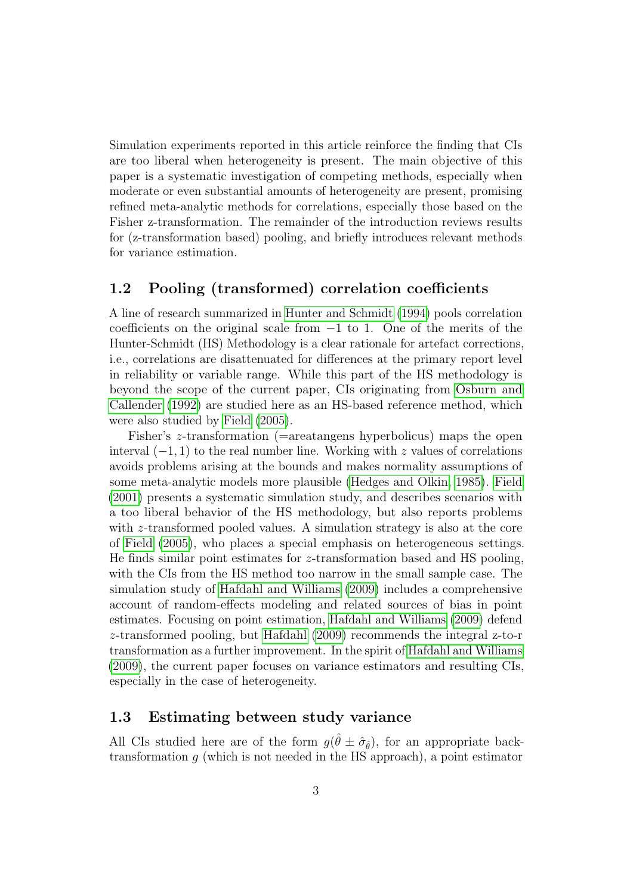Simulation experiments reported in this article reinforce the finding that CIs are too liberal when heterogeneity is present. The main objective of this paper is a systematic investigation of competing methods, especially when moderate or even substantial amounts of heterogeneity are present, promising refined meta-analytic methods for correlations, especially those based on the Fisher z-transformation. The remainder of the introduction reviews results for (z-transformation based) pooling, and briefly introduces relevant methods for variance estimation.

#### 1.2 Pooling (transformed) correlation coefficients

A line of research summarized in [Hunter and Schmidt](#page-24-4) [\(1994\)](#page-24-4) pools correlation coefficients on the original scale from  $-1$  to 1. One of the merits of the Hunter-Schmidt (HS) Methodology is a clear rationale for artefact corrections, i.e., correlations are disattenuated for differences at the primary report level in reliability or variable range. While this part of the HS methodology is beyond the scope of the current paper, CIs originating from [Osburn and](#page-25-2) [Callender](#page-25-2) [\(1992\)](#page-25-2) are studied here as an HS-based reference method, which were also studied by [Field](#page-23-0) [\(2005\)](#page-23-0).

Fisher's z-transformation (=areatangens hyperbolicus) maps the open interval  $(-1, 1)$  to the real number line. Working with z values of correlations avoids problems arising at the bounds and makes normality assumptions of some meta-analytic models more plausible [\(Hedges and Olkin, 1985\)](#page-24-1). [Field](#page-23-5) [\(2001\)](#page-23-5) presents a systematic simulation study, and describes scenarios with a too liberal behavior of the HS methodology, but also reports problems with *z*-transformed pooled values. A simulation strategy is also at the core of [Field](#page-23-0) [\(2005\)](#page-23-0), who places a special emphasis on heterogeneous settings. He finds similar point estimates for z-transformation based and HS pooling, with the CIs from the HS method too narrow in the small sample case. The simulation study of [Hafdahl and Williams](#page-24-0) [\(2009\)](#page-24-0) includes a comprehensive account of random-effects modeling and related sources of bias in point estimates. Focusing on point estimation, [Hafdahl and Williams](#page-24-0) [\(2009\)](#page-24-0) defend z-transformed pooling, but [Hafdahl](#page-23-1) [\(2009\)](#page-23-1) recommends the integral z-to-r transformation as a further improvement. In the spirit of [Hafdahl and Williams](#page-24-0) [\(2009\)](#page-24-0), the current paper focuses on variance estimators and resulting CIs, especially in the case of heterogeneity.

#### 1.3 Estimating between study variance

All CIs studied here are of the form  $g(\hat{\theta} \pm \hat{\sigma}_{\hat{\theta}})$ , for an appropriate backtransformation  $g$  (which is not needed in the HS approach), a point estimator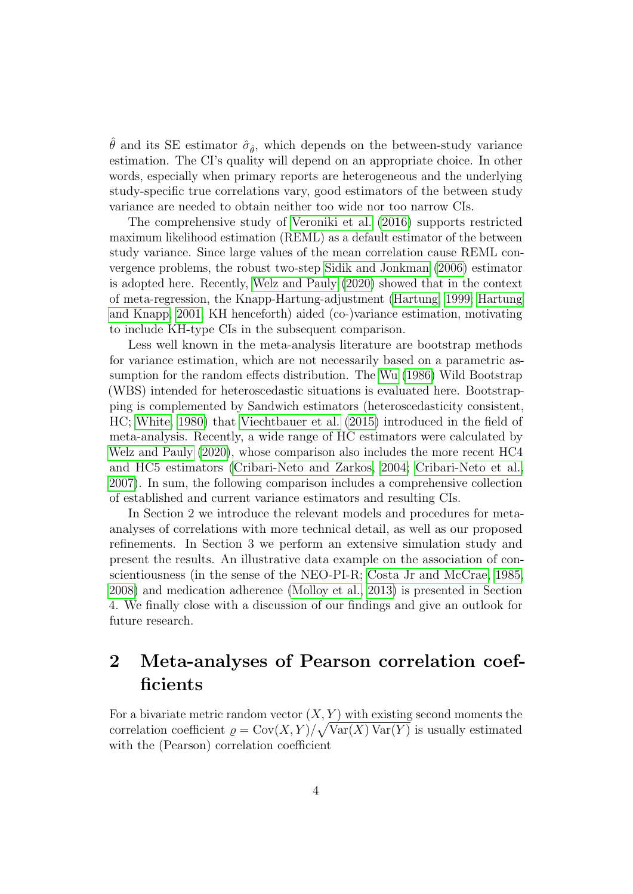$\hat{\theta}$  and its SE estimator  $\hat{\sigma}_{\hat{\theta}}$ , which depends on the between-study variance estimation. The CI's quality will depend on an appropriate choice. In other words, especially when primary reports are heterogeneous and the underlying study-specific true correlations vary, good estimators of the between study variance are needed to obtain neither too wide nor too narrow CIs.

The comprehensive study of [Veroniki et al.](#page-26-1) [\(2016\)](#page-26-1) supports restricted maximum likelihood estimation (REML) as a default estimator of the between study variance. Since large values of the mean correlation cause REML convergence problems, the robust two-step [Sidik and Jonkman](#page-25-3) [\(2006\)](#page-25-3) estimator is adopted here. Recently, [Welz and Pauly](#page-26-2) [\(2020\)](#page-26-2) showed that in the context of meta-regression, the Knapp-Hartung-adjustment [\(Hartung, 1999;](#page-24-5) [Hartung](#page-24-6) [and Knapp, 2001,](#page-24-6) KH henceforth) aided (co-)variance estimation, motivating to include KH-type CIs in the subsequent comparison.

Less well known in the meta-analysis literature are bootstrap methods for variance estimation, which are not necessarily based on a parametric assumption for the random effects distribution. The [Wu](#page-26-3) [\(1986\)](#page-26-3) Wild Bootstrap (WBS) intended for heteroscedastic situations is evaluated here. Bootstrapping is complemented by Sandwich estimators (heteroscedasticity consistent, HC; [White, 1980\)](#page-26-4) that [Viechtbauer et al.](#page-26-5) [\(2015\)](#page-26-5) introduced in the field of meta-analysis. Recently, a wide range of HC estimators were calculated by [Welz and Pauly](#page-26-2) [\(2020\)](#page-26-2), whose comparison also includes the more recent HC4 and HC5 estimators [\(Cribari-Neto and Zarkos, 2004;](#page-23-6) [Cribari-Neto et al.,](#page-23-7) [2007\)](#page-23-7). In sum, the following comparison includes a comprehensive collection of established and current variance estimators and resulting CIs.

In Section 2 we introduce the relevant models and procedures for metaanalyses of correlations with more technical detail, as well as our proposed refinements. In Section 3 we perform an extensive simulation study and present the results. An illustrative data example on the association of conscientiousness (in the sense of the NEO-PI-R; [Costa Jr and McCrae, 1985,](#page-23-8) [2008\)](#page-23-9) and medication adherence [\(Molloy et al., 2013\)](#page-25-4) is presented in Section 4. We finally close with a discussion of our findings and give an outlook for future research.

# 2 Meta-analyses of Pearson correlation coefficients

For a bivariate metric random vector  $(X, Y)$  with existing second moments the correlation coefficient  $\rho = \text{Cov}(X, Y) / \sqrt{\text{Var}(X) \text{Var}(Y)}$  is usually estimated with the (Pearson) correlation coefficient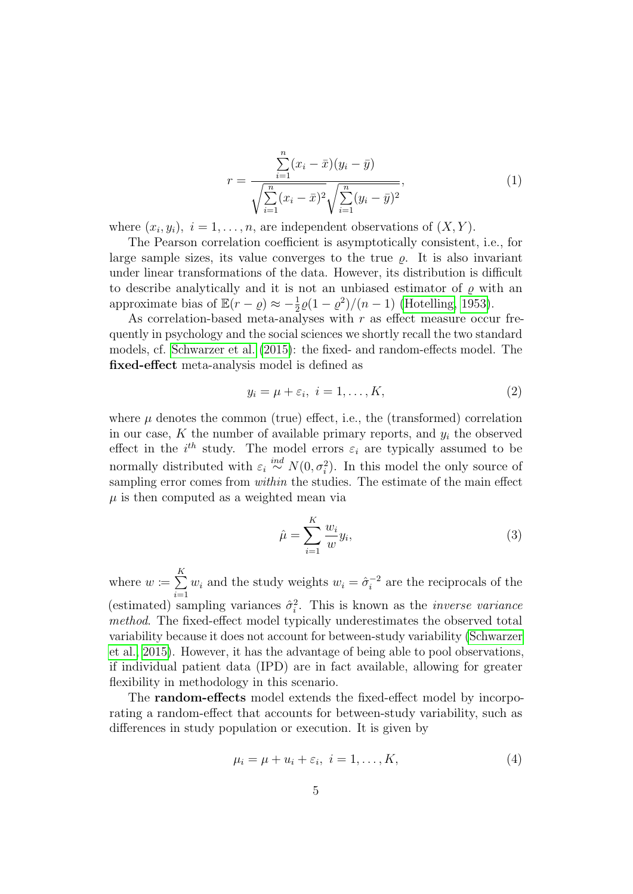$$
r = \frac{\sum_{i=1}^{n} (x_i - \bar{x})(y_i - \bar{y})}{\sqrt{\sum_{i=1}^{n} (x_i - \bar{x})^2} \sqrt{\sum_{i=1}^{n} (y_i - \bar{y})^2}},
$$
\n(1)

where  $(x_i, y_i)$ ,  $i = 1, \ldots, n$ , are independent observations of  $(X, Y)$ .

The Pearson correlation coefficient is asymptotically consistent, i.e., for large sample sizes, its value converges to the true  $\rho$ . It is also invariant under linear transformations of the data. However, its distribution is difficult to describe analytically and it is not an unbiased estimator of  $\rho$  with an approximate bias of  $\mathbb{E}(r - \varrho) \approx -\frac{1}{2}\varrho(1 - \varrho^2)/(n - 1)$  [\(Hotelling, 1953\)](#page-24-7).

As correlation-based meta-analyses with  $r$  as effect measure occur frequently in psychology and the social sciences we shortly recall the two standard models, cf. [Schwarzer et al.](#page-25-5) [\(2015\)](#page-25-5): the fixed- and random-effects model. The fixed-effect meta-analysis model is defined as

$$
y_i = \mu + \varepsilon_i, \ i = 1, \dots, K,\tag{2}
$$

where  $\mu$  denotes the common (true) effect, i.e., the (transformed) correlation in our case, K the number of available primary reports, and  $y_i$  the observed effect in the  $i^{th}$  study. The model errors  $\varepsilon_i$  are typically assumed to be normally distributed with  $\varepsilon_i \stackrel{ind}{\sim} N(0, \sigma_i^2)$ . In this model the only source of sampling error comes from *within* the studies. The estimate of the main effect  $\mu$  is then computed as a weighted mean via

<span id="page-4-0"></span>
$$
\hat{\mu} = \sum_{i=1}^{K} \frac{w_i}{w} y_i,\tag{3}
$$

where  $w \coloneqq \sum_{k=1}^{K}$  $i=1$  $w_i$  and the study weights  $w_i = \hat{\sigma}_i^{-2}$  $i_i^{-2}$  are the reciprocals of the (estimated) sampling variances  $\hat{\sigma}_i^2$ . This is known as the *inverse variance* method. The fixed-effect model typically underestimates the observed total variability because it does not account for between-study variability [\(Schwarzer](#page-25-5) [et al., 2015\)](#page-25-5). However, it has the advantage of being able to pool observations, if individual patient data (IPD) are in fact available, allowing for greater flexibility in methodology in this scenario.

The random-effects model extends the fixed-effect model by incorporating a random-effect that accounts for between-study variability, such as differences in study population or execution. It is given by

<span id="page-4-1"></span>
$$
\mu_i = \mu + u_i + \varepsilon_i, \quad i = 1, \dots, K,
$$
\n<sup>(4)</sup>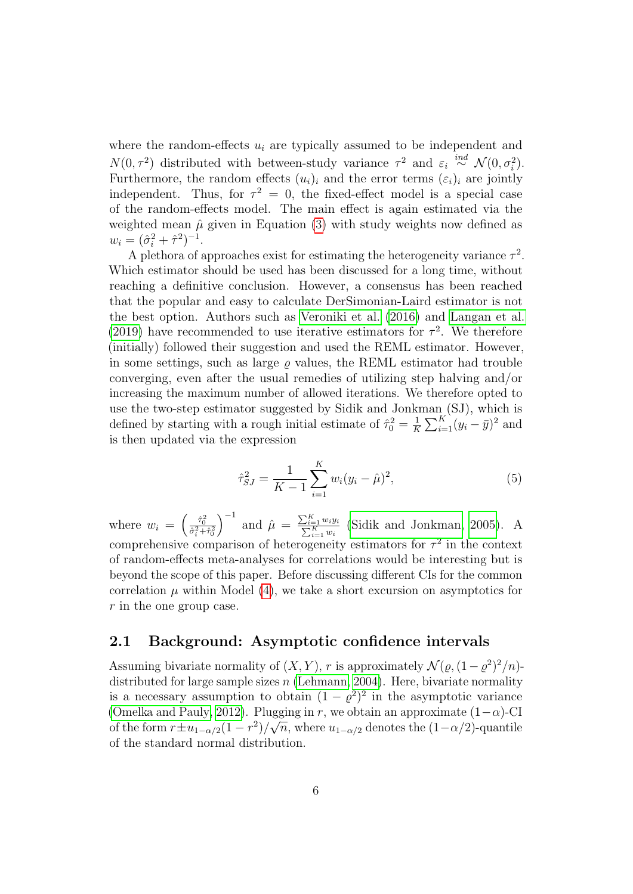where the random-effects  $u_i$  are typically assumed to be independent and  $N(0, \tau^2)$  distributed with between-study variance  $\tau^2$  and  $\varepsilon_i \stackrel{ind}{\sim} \mathcal{N}(0, \sigma_i^2)$ . Furthermore, the random effects  $(u_i)_i$  and the error terms  $(\varepsilon_i)_i$  are jointly independent. Thus, for  $\tau^2 = 0$ , the fixed-effect model is a special case of the random-effects model. The main effect is again estimated via the weighted mean  $\hat{\mu}$  given in Equation [\(3\)](#page-4-0) with study weights now defined as  $w_i = (\hat{\sigma}_i^2 + \hat{\tau}^2)^{-1}.$ 

A plethora of approaches exist for estimating the heterogeneity variance  $\tau^2$ . Which estimator should be used has been discussed for a long time, without reaching a definitive conclusion. However, a consensus has been reached that the popular and easy to calculate DerSimonian-Laird estimator is not the best option. Authors such as [Veroniki et al.](#page-26-1) [\(2016\)](#page-26-1) and [Langan et al.](#page-24-8) [\(2019\)](#page-24-8) have recommended to use iterative estimators for  $\tau^2$ . We therefore (initially) followed their suggestion and used the REML estimator. However, in some settings, such as large  $\rho$  values, the REML estimator had trouble converging, even after the usual remedies of utilizing step halving and/or increasing the maximum number of allowed iterations. We therefore opted to use the two-step estimator suggested by Sidik and Jonkman (SJ), which is defined by starting with a rough initial estimate of  $\hat{\tau}_0^2 = \frac{1}{K}$  $\frac{1}{K} \sum_{i=1}^{K} (y_i - \bar{y})^2$  and is then updated via the expression

$$
\hat{\tau}_{SJ}^2 = \frac{1}{K-1} \sum_{i=1}^{K} w_i (y_i - \hat{\mu})^2, \tag{5}
$$

where  $w_i = \left(\frac{\hat{\tau}_0^2}{\hat{\sigma}_i^2 + \hat{\tau}_0^2}\right)$  $\int^{-1}$  and  $\hat{\mu} = \frac{\sum_{i=1}^{K} w_i y_i}{\sum_{i=1}^{K} w_i}$  [\(Sidik and Jonkman, 2005\)](#page-25-6). A comprehensive comparison of heterogeneity estimators for  $\tau^2$  in the context of random-effects meta-analyses for correlations would be interesting but is beyond the scope of this paper. Before discussing different CIs for the common correlation  $\mu$  within Model [\(4\)](#page-4-1), we take a short excursion on asymptotics for r in the one group case.

#### 2.1 Background: Asymptotic confidence intervals

Assuming bivariate normality of  $(X, Y)$ , r is approximately  $\mathcal{N}(\varrho, (1-\varrho^2)^2/n)$ distributed for large sample sizes  $n$  [\(Lehmann, 2004\)](#page-25-7). Here, bivariate normality is a necessary assumption to obtain  $(1 - \varrho^2)^2$  in the asymptotic variance [\(Omelka and Pauly, 2012\)](#page-25-8). Plugging in r, we obtain an approximate  $(1-\alpha)$ -CI of the form  $r \pm u_{1-\alpha/2}(1-r^2)/\sqrt{n}$ , where  $u_{1-\alpha/2}$  denotes the  $(1-\alpha/2)$ -quantile of the standard normal distribution.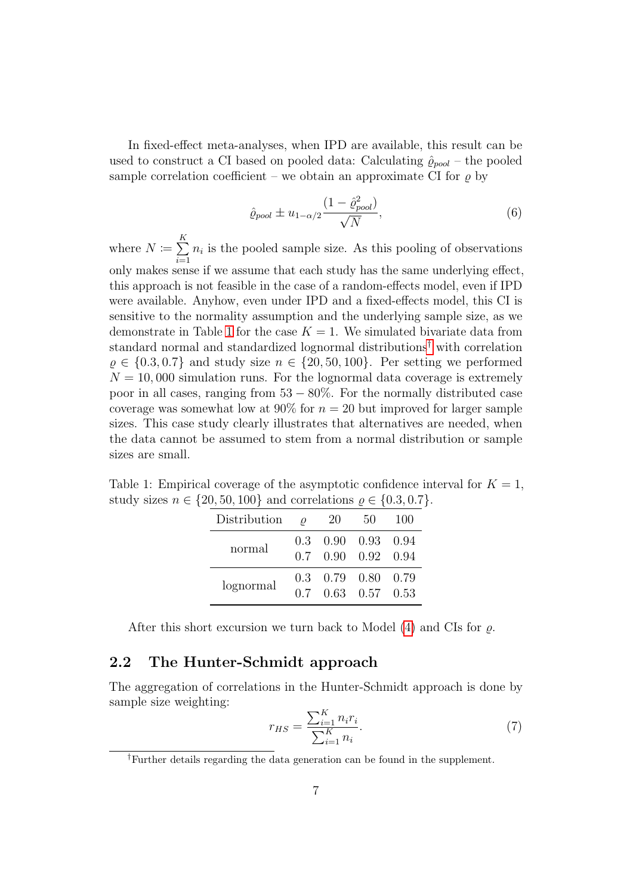In fixed-effect meta-analyses, when IPD are available, this result can be used to construct a CI based on pooled data: Calculating  $\hat{\rho}_{pool}$  – the pooled sample correlation coefficient – we obtain an approximate CI for  $\rho$  by

<span id="page-6-2"></span>
$$
\hat{\varrho}_{pool} \pm u_{1-\alpha/2} \frac{(1-\hat{\varrho}_{pool}^2)}{\sqrt{N}},\tag{6}
$$

where  $N \coloneqq \sum_{k=1}^{K}$  $i=1$  $n_i$  is the pooled sample size. As this pooling of observations only makes sense if we assume that each study has the same underlying effect, this approach is not feasible in the case of a random-effects model, even if IPD were available. Anyhow, even under IPD and a fixed-effects model, this CI is sensitive to the normality assumption and the underlying sample size, as we demonstrate in Table [1](#page-6-0) for the case  $K = 1$ . We simulated bivariate data from standard normal and standardized lognormal distributions[†](#page-6-1) with correlation  $\rho \in \{0.3, 0.7\}$  and study size  $n \in \{20, 50, 100\}$ . Per setting we performed  $N = 10,000$  simulation runs. For the lognormal data coverage is extremely poor in all cases, ranging from  $53 - 80\%$ . For the normally distributed case coverage was somewhat low at  $90\%$  for  $n = 20$  but improved for larger sample sizes. This case study clearly illustrates that alternatives are needed, when the data cannot be assumed to stem from a normal distribution or sample sizes are small.

<span id="page-6-0"></span>Table 1: Empirical coverage of the asymptotic confidence interval for  $K = 1$ , study sizes  $n \in \{20, 50, 100\}$  and correlations  $\rho \in \{0.3, 0.7\}$ .

| Distribution | $\overline{\mathcal{O}}$ | 20 | 50                                                       | <b>100</b> |
|--------------|--------------------------|----|----------------------------------------------------------|------------|
| normal       |                          |    | $0.3$ $0.90$ $0.93$ $0.94$<br>$0.7$ $0.90$ $0.92$ $0.94$ |            |
| lognormal    |                          |    | $0.3$ $0.79$ $0.80$ $0.79$<br>$0.7$ $0.63$ $0.57$ $0.53$ |            |

After this short excursion we turn back to Model  $(4)$  and CIs for  $\rho$ .

#### 2.2 The Hunter-Schmidt approach

The aggregation of correlations in the Hunter-Schmidt approach is done by sample size weighting:

$$
r_{HS} = \frac{\sum_{i=1}^{K} n_i r_i}{\sum_{i=1}^{K} n_i}.
$$
\n(7)

<span id="page-6-1"></span>†Further details regarding the data generation can be found in the supplement.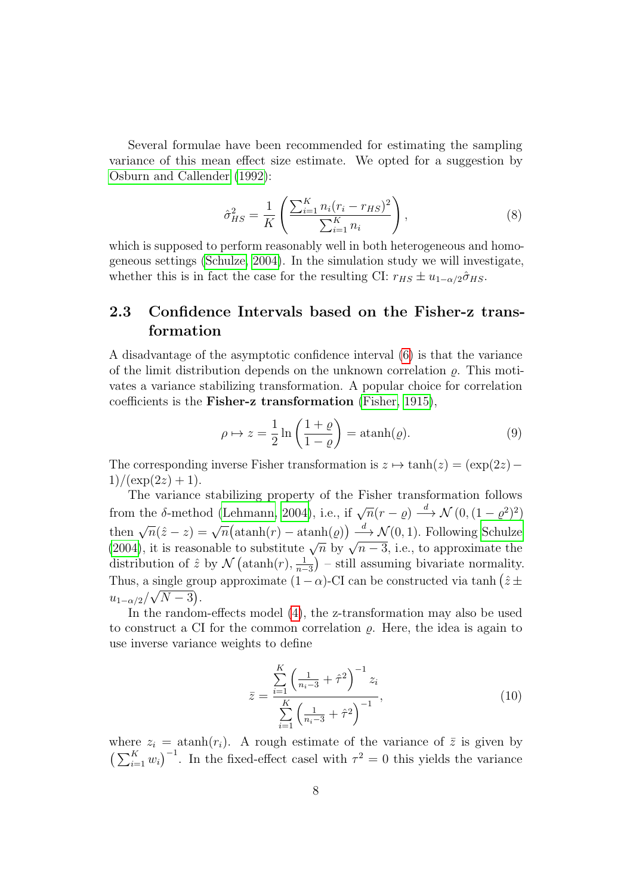Several formulae have been recommended for estimating the sampling variance of this mean effect size estimate. We opted for a suggestion by [Osburn and Callender](#page-25-2) [\(1992\)](#page-25-2):

$$
\hat{\sigma}_{HS}^2 = \frac{1}{K} \left( \frac{\sum_{i=1}^K n_i (r_i - r_{HS})^2}{\sum_{i=1}^K n_i} \right),\tag{8}
$$

which is supposed to perform reasonably well in both heterogeneous and homogeneous settings [\(Schulze, 2004\)](#page-25-1). In the simulation study we will investigate, whether this is in fact the case for the resulting CI:  $r_{HS} \pm u_{1-\alpha/2} \hat{\sigma}_{HS}$ .

### 2.3 Confidence Intervals based on the Fisher-z transformation

A disadvantage of the asymptotic confidence interval [\(6\)](#page-6-2) is that the variance of the limit distribution depends on the unknown correlation  $\rho$ . This motivates a variance stabilizing transformation. A popular choice for correlation coefficients is the Fisher-z transformation [\(Fisher, 1915\)](#page-23-10),

$$
\rho \mapsto z = \frac{1}{2} \ln \left( \frac{1+\varrho}{1-\varrho} \right) = \operatorname{atanh}(\varrho). \tag{9}
$$

The corresponding inverse Fisher transformation is  $z \mapsto \tanh(z) = (\exp(2z) 1)/(\exp(2z) + 1).$ 

The variance stabilizing property of the Fisher transformation follows from the δ-method [\(Lehmann, 2004\)](#page-25-7), i.e., if  $\sqrt{n}(r-\varrho) \stackrel{d}{\rightarrow} \mathcal{N}(0, (1-\varrho^2)^2)$ then  $\sqrt{n}(\hat{z}-z) = \sqrt{n}(\operatorname{atanh}(r) - \operatorname{atanh}(\varrho)) \stackrel{d}{\longrightarrow} \mathcal{N}(0, 1)$ . Following [Schulze](#page-25-1) [\(2004\)](#page-25-1), it is reasonable to substitute  $\sqrt{n}$  by  $\sqrt{n-3}$ , i.e., to approximate the distribution of  $\hat{z}$  by  $\mathcal{N}\left(\text{atanh}(r),\frac{1}{n-1}\right)$  $\frac{1}{n-3}$ ) – still assuming bivariate normality. Thus, a single group approximate  $(1 - \alpha)$ -CI can be constructed via tanh  $(\hat{z} \pm \hat{z})$  $u_{1-\alpha/2}/\sqrt{N-3}$ ).

In the random-effects model [\(4\)](#page-4-1), the z-transformation may also be used to construct a CI for the common correlation  $\rho$ . Here, the idea is again to use inverse variance weights to define

$$
\bar{z} = \frac{\sum_{i=1}^{K} \left(\frac{1}{n_i - 3} + \hat{\tau}^2\right)^{-1} z_i}{\sum_{i=1}^{K} \left(\frac{1}{n_i - 3} + \hat{\tau}^2\right)^{-1}},\tag{10}
$$

where  $z_i = \text{atanh}(r_i)$ . A rough estimate of the variance of  $\overline{z}$  is given by  $\left(\sum_{i=1}^K w_i\right)^{-1}$ . In the fixed-effect casel with  $\tau^2 = 0$  this yields the variance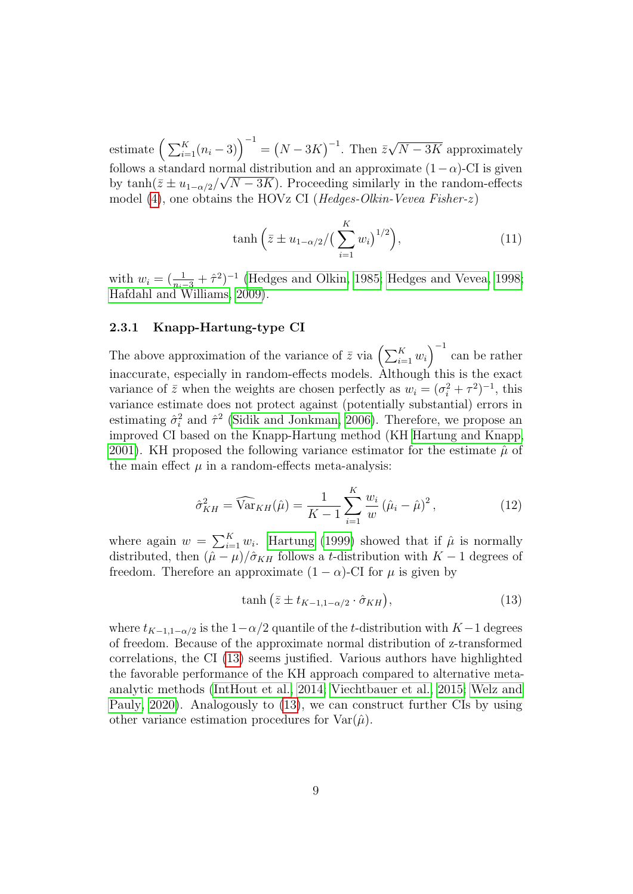estimate  $\left(\sum_{i=1}^K(n_i-3)\right)^{-1} = \left(N-3K\right)^{-1}$ . Then  $\bar{z}$ √  $N-3K$  approximately follows a standard normal distribution and an approximate  $(1-\alpha)$ -CI is given by  $\tanh(\bar{z} \pm u_{1-\alpha/2}/\sqrt{N-3K})$ . Proceeding similarly in the random-effects model [\(4\)](#page-4-1), one obtains the HOVz CI (*Hedges-Olkin-Vevea Fisher-z*)

$$
\tanh\left(\bar{z} \pm u_{1-\alpha/2}/\left(\sum_{i=1}^{K} w_i\right)^{1/2}\right),\tag{11}
$$

with  $w_i = (\frac{1}{n_i-3} + \hat{\tau}^2)^{-1}$  [\(Hedges and Olkin, 1985;](#page-24-1) [Hedges and Vevea, 1998;](#page-24-9) [Hafdahl and Williams, 2009\)](#page-24-0).

#### 2.3.1 Knapp-Hartung-type CI

The above approximation of the variance of  $\bar{z}$  via  $\left(\sum_{i=1}^{K} w_i\right)^{-1}$  can be rather inaccurate, especially in random-effects models. Although this is the exact variance of  $\bar{z}$  when the weights are chosen perfectly as  $w_i = (\sigma_i^2 + \tau^2)^{-1}$ , this variance estimate does not protect against (potentially substantial) errors in estimating  $\hat{\sigma}_i^2$  and  $\hat{\tau}^2$  [\(Sidik and Jonkman, 2006\)](#page-25-3). Therefore, we propose an improved CI based on the Knapp-Hartung method (KH [Hartung and Knapp,](#page-24-6) [2001\)](#page-24-6). KH proposed the following variance estimator for the estimate  $\hat{\mu}$  of the main effect  $\mu$  in a random-effects meta-analysis:

$$
\hat{\sigma}_{KH}^2 = \widehat{\text{Var}}_{KH}(\hat{\mu}) = \frac{1}{K - 1} \sum_{i=1}^{K} \frac{w_i}{w} (\hat{\mu}_i - \hat{\mu})^2, \tag{12}
$$

where again  $w = \sum_{i=1}^{K} w_i$ . [Hartung](#page-24-5) [\(1999\)](#page-24-5) showed that if  $\hat{\mu}$  is normally distributed, then  $(\hat{\mu} - \mu)/\hat{\sigma}_{KH}$  follows a t-distribution with  $K - 1$  degrees of freedom. Therefore an approximate  $(1 - \alpha)$ -CI for  $\mu$  is given by

<span id="page-8-0"></span>
$$
\tanh\left(\bar{z} \pm t_{K-1,1-\alpha/2} \cdot \hat{\sigma}_{KH}\right),\tag{13}
$$

where  $t_{K-1,1-\alpha/2}$  is the  $1-\alpha/2$  quantile of the t-distribution with  $K-1$  degrees of freedom. Because of the approximate normal distribution of z-transformed correlations, the CI [\(13\)](#page-8-0) seems justified. Various authors have highlighted the favorable performance of the KH approach compared to alternative metaanalytic methods [\(IntHout et al., 2014;](#page-24-10) [Viechtbauer et al., 2015;](#page-26-5) [Welz and](#page-26-2) [Pauly, 2020\)](#page-26-2). Analogously to [\(13\)](#page-8-0), we can construct further CIs by using other variance estimation procedures for  $\text{Var}(\hat{\mu})$ .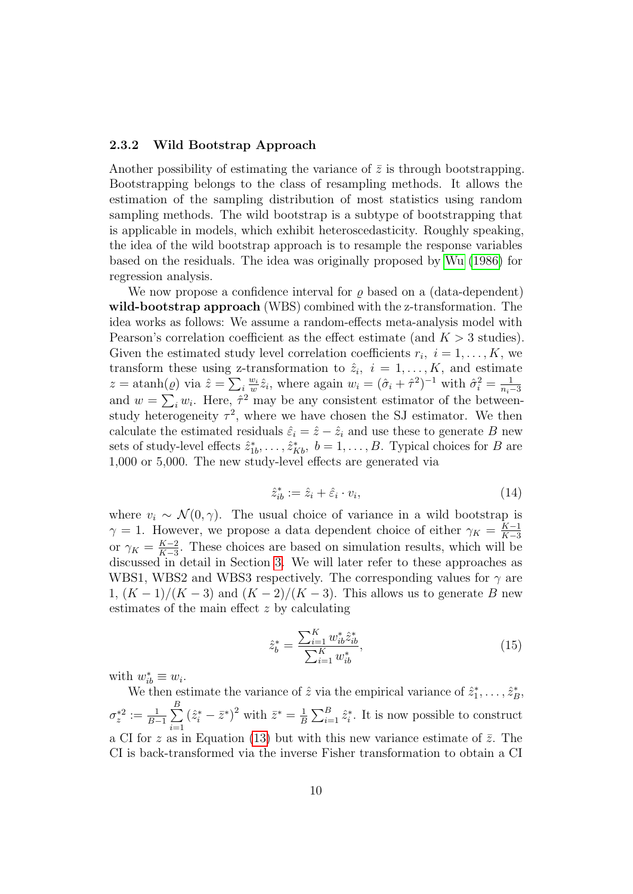#### 2.3.2 Wild Bootstrap Approach

Another possibility of estimating the variance of  $\bar{z}$  is through bootstrapping. Bootstrapping belongs to the class of resampling methods. It allows the estimation of the sampling distribution of most statistics using random sampling methods. The wild bootstrap is a subtype of bootstrapping that is applicable in models, which exhibit heteroscedasticity. Roughly speaking, the idea of the wild bootstrap approach is to resample the response variables based on the residuals. The idea was originally proposed by [Wu](#page-26-3) [\(1986\)](#page-26-3) for regression analysis.

We now propose a confidence interval for  $\rho$  based on a (data-dependent) wild-bootstrap approach (WBS) combined with the z-transformation. The idea works as follows: We assume a random-effects meta-analysis model with Pearson's correlation coefficient as the effect estimate (and  $K > 3$  studies). Given the estimated study level correlation coefficients  $r_i, i = 1, \ldots, K$ , we transform these using z-transformation to  $\hat{z}_i$ ,  $i = 1, \ldots, K$ , and estimate  $z = \operatorname{atanh}(\varrho)$  via  $\hat{z} = \sum_i \frac{w_i}{w_i}$  $w_i \hat{z}_i$ , where again  $w_i = (\hat{\sigma}_i + \hat{\tau}^2)^{-1}$  with  $\hat{\sigma}_i^2 = \frac{1}{n_i-1}$  $n_i-3$ and  $w = \sum_i w_i$ . Here,  $\hat{\tau}^2$  may be any consistent estimator of the betweenstudy heterogeneity  $\tau^2$ , where we have chosen the SJ estimator. We then calculate the estimated residuals  $\hat{\varepsilon}_i = \hat{z} - \hat{z}_i$  and use these to generate B new sets of study-level effects  $\hat{z}_{1b}^*, \ldots, \hat{z}_{Kb}^*, b = 1, \ldots, B$ . Typical choices for B are 1,000 or 5,000. The new study-level effects are generated via

$$
\hat{z}_{ib}^* := \hat{z}_i + \hat{\epsilon}_i \cdot v_i,\tag{14}
$$

where  $v_i \sim \mathcal{N}(0, \gamma)$ . The usual choice of variance in a wild bootstrap is  $\gamma = 1$ . However, we propose a data dependent choice of either  $\gamma_K = \frac{K-1}{K-3}$  $K-3$ or  $\gamma_K = \frac{K-2}{K-3}$  $\frac{K-2}{K-3}$ . These choices are based on simulation results, which will be discussed in detail in Section [3.](#page-12-0) We will later refer to these approaches as WBS1, WBS2 and WBS3 respectively. The corresponding values for  $\gamma$  are 1,  $(K-1)/(K-3)$  and  $(K-2)/(K-3)$ . This allows us to generate B new estimates of the main effect z by calculating

$$
\hat{z}_b^* = \frac{\sum_{i=1}^K w_{ib}^* \hat{z}_{ib}^*}{\sum_{i=1}^K w_{ib}^*},\tag{15}
$$

with  $w_{ib}^* \equiv w_i$ .

We then estimate the variance of  $\hat{z}$  via the empirical variance of  $\hat{z}_1^*, \ldots, \hat{z}_B^*,$  $\sigma_z^{*2} := \frac{1}{B-1}\sum_{i=1}^B$  $i=1$  $(\hat{z}_{i}^{*} - \bar{z}^{*})^{2}$  with  $\bar{z}^{*} = \frac{1}{E}$  $\frac{1}{B}\sum_{i=1}^{B} \hat{z}_{i}^{*}$ . It is now possible to construct a CI for z as in Equation [\(13\)](#page-8-0) but with this new variance estimate of  $\bar{z}$ . The CI is back-transformed via the inverse Fisher transformation to obtain a CI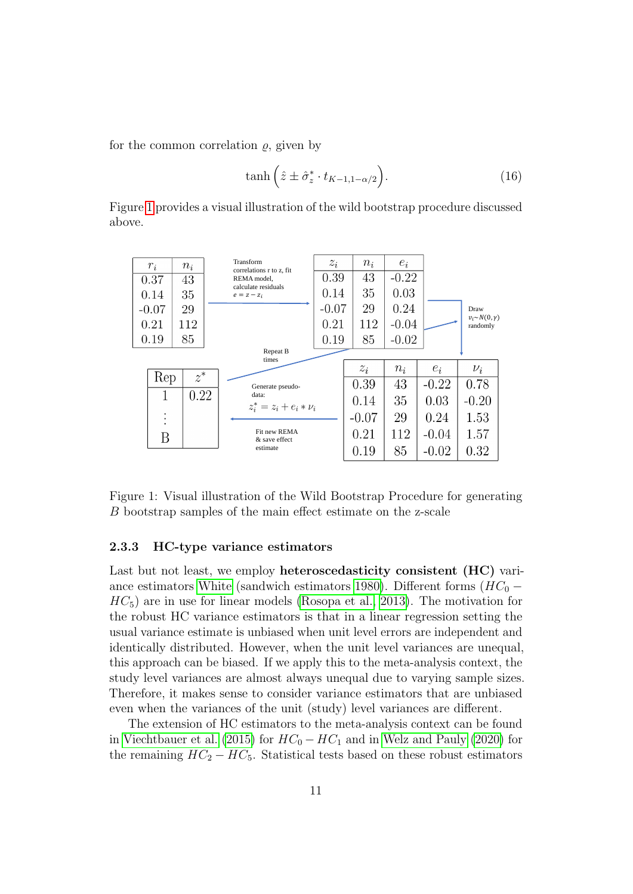for the common correlation  $\rho$ , given by

$$
\tanh\left(\hat{z}\pm\hat{\sigma}_z^*\cdot t_{K-1,1-\alpha/2}\right). \tag{16}
$$

Figure [1](#page-10-0) provides a visual illustration of the wild bootstrap procedure discussed above.



<span id="page-10-0"></span>Figure 1: Visual illustration of the Wild Bootstrap Procedure for generating B bootstrap samples of the main effect estimate on the z-scale

#### 2.3.3 HC-type variance estimators

Last but not least, we employ heteroscedasticity consistent (HC) vari-ance estimators [White](#page-26-4) (sandwich estimators [1980\)](#page-26-4). Different forms  $(HC_0 HC_5$ ) are in use for linear models [\(Rosopa et al., 2013\)](#page-25-9). The motivation for the robust HC variance estimators is that in a linear regression setting the usual variance estimate is unbiased when unit level errors are independent and identically distributed. However, when the unit level variances are unequal, this approach can be biased. If we apply this to the meta-analysis context, the study level variances are almost always unequal due to varying sample sizes. Therefore, it makes sense to consider variance estimators that are unbiased even when the variances of the unit (study) level variances are different.

The extension of HC estimators to the meta-analysis context can be found in [Viechtbauer et al.](#page-26-5) [\(2015\)](#page-26-5) for  $HC_0 - HC_1$  and in [Welz and Pauly](#page-26-2) [\(2020\)](#page-26-2) for the remaining  $HC_2 - HC_5$ . Statistical tests based on these robust estimators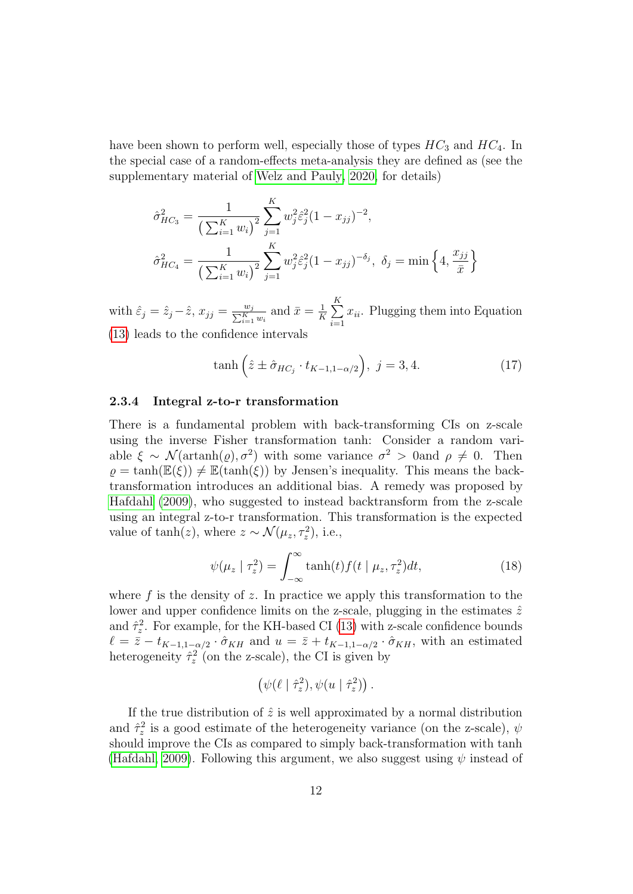have been shown to perform well, especially those of types  $HC_3$  and  $HC_4$ . In the special case of a random-effects meta-analysis they are defined as (see the supplementary material of [Welz and Pauly, 2020,](#page-26-2) for details)

$$
\hat{\sigma}_{HC_3}^2 = \frac{1}{\left(\sum_{i=1}^K w_i\right)^2} \sum_{j=1}^K w_j^2 \hat{\varepsilon}_j^2 (1 - x_{jj})^{-2},
$$
  

$$
\hat{\sigma}_{HC_4}^2 = \frac{1}{\left(\sum_{i=1}^K w_i\right)^2} \sum_{j=1}^K w_j^2 \hat{\varepsilon}_j^2 (1 - x_{jj})^{-\delta_j}, \ \delta_j = \min\left\{4, \frac{x_{jj}}{\bar{x}}\right\}
$$

with  $\hat{\varepsilon}_j = \hat{z}_j - \hat{z}$ ,  $x_{jj} = \frac{w_j}{\sum_{i=1}^K w_i}$  and  $\bar{x} = \frac{1}{K}$  $\frac{1}{K}\sum_{i=1}^K$  $i=1$  $x_{ii}$ . Plugging them into Equation [\(13\)](#page-8-0) leads to the confidence intervals

$$
\tanh\left(\hat{z}\pm\hat{\sigma}_{HC_j}\cdot t_{K-1,1-\alpha/2}\right),\ j=3,4.\tag{17}
$$

#### 2.3.4 Integral z-to-r transformation

There is a fundamental problem with back-transforming CIs on z-scale using the inverse Fisher transformation tanh: Consider a random variable  $\xi \sim \mathcal{N}(\text{artanh}(\rho), \sigma^2)$  with some variance  $\sigma^2 > 0$  and  $\rho \neq 0$ . Then  $\rho = \tanh(\mathbb{E}(\xi)) \neq \mathbb{E}(\tanh(\xi))$  by Jensen's inequality. This means the backtransformation introduces an additional bias. A remedy was proposed by [Hafdahl](#page-23-1) [\(2009\)](#page-23-1), who suggested to instead backtransform from the z-scale using an integral z-to-r transformation. This transformation is the expected value of  $tanh(z)$ , where  $z \sim \mathcal{N}(\mu_z, \tau_z^2)$ , i.e.,

$$
\psi(\mu_z \mid \tau_z^2) = \int_{-\infty}^{\infty} \tanh(t) f(t \mid \mu_z, \tau_z^2) dt,
$$
\n(18)

where  $f$  is the density of  $z$ . In practice we apply this transformation to the lower and upper confidence limits on the z-scale, plugging in the estimates  $\hat{z}$ and  $\hat{\tau}_z^2$ . For example, for the KH-based CI [\(13\)](#page-8-0) with z-scale confidence bounds  $\ell = \bar{z} - t_{K-1,1-\alpha/2} \cdot \hat{\sigma}_{KH}$  and  $u = \bar{z} + t_{K-1,1-\alpha/2} \cdot \hat{\sigma}_{KH}$ , with an estimated heterogeneity  $\hat{\tau}_z^2$  (on the z-scale), the CI is given by

$$
(\psi(\ell \mid \hat{\tau}_z^2), \psi(u \mid \hat{\tau}_z^2)).
$$

If the true distribution of  $\hat{z}$  is well approximated by a normal distribution and  $\hat{\tau}_z^2$  is a good estimate of the heterogeneity variance (on the z-scale),  $\psi$ should improve the CIs as compared to simply back-transformation with tanh [\(Hafdahl, 2009\)](#page-23-1). Following this argument, we also suggest using  $\psi$  instead of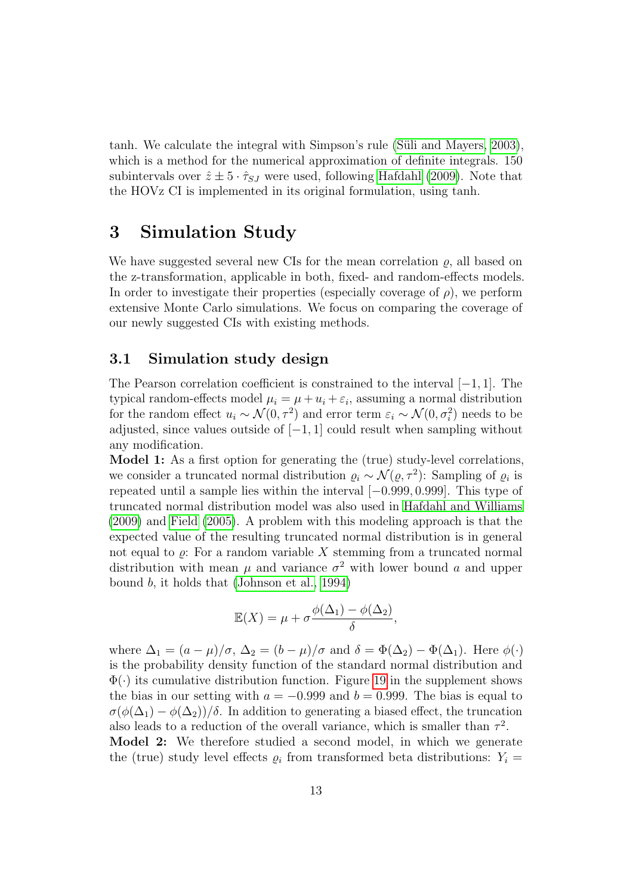tanh. We calculate the integral with Simpson's rule (Süli and Mayers, 2003), which is a method for the numerical approximation of definite integrals. 150 subintervals over  $\hat{z} \pm 5 \cdot \hat{\tau}_{SJ}$  were used, following [Hafdahl](#page-23-1) [\(2009\)](#page-23-1). Note that the HOVz CI is implemented in its original formulation, using tanh.

### <span id="page-12-0"></span>3 Simulation Study

We have suggested several new CIs for the mean correlation  $\rho$ , all based on the z-transformation, applicable in both, fixed- and random-effects models. In order to investigate their properties (especially coverage of  $\rho$ ), we perform extensive Monte Carlo simulations. We focus on comparing the coverage of our newly suggested CIs with existing methods.

#### 3.1 Simulation study design

The Pearson correlation coefficient is constrained to the interval  $[-1, 1]$ . The typical random-effects model  $\mu_i = \mu + u_i + \varepsilon_i$ , assuming a normal distribution for the random effect  $u_i \sim \mathcal{N}(0, \tau^2)$  and error term  $\varepsilon_i \sim \mathcal{N}(0, \sigma_i^2)$  needs to be adjusted, since values outside of  $[-1, 1]$  could result when sampling without any modification.

Model 1: As a first option for generating the (true) study-level correlations, we consider a truncated normal distribution  $\varrho_i \sim \mathcal{N}(\varrho, \tau^2)$ : Sampling of  $\varrho_i$  is repeated until a sample lies within the interval [−0.999, 0.999]. This type of truncated normal distribution model was also used in [Hafdahl and Williams](#page-24-0) [\(2009\)](#page-24-0) and [Field](#page-23-0) [\(2005\)](#page-23-0). A problem with this modeling approach is that the expected value of the resulting truncated normal distribution is in general not equal to  $\rho$ : For a random variable X stemming from a truncated normal distribution with mean  $\mu$  and variance  $\sigma^2$  with lower bound a and upper bound b, it holds that [\(Johnson et al., 1994\)](#page-24-11)

$$
\mathbb{E}(X) = \mu + \sigma \frac{\phi(\Delta_1) - \phi(\Delta_2)}{\delta},
$$

where  $\Delta_1 = (a - \mu)/\sigma$ ,  $\Delta_2 = (b - \mu)/\sigma$  and  $\delta = \Phi(\Delta_2) - \Phi(\Delta_1)$ . Here  $\phi(\cdot)$ is the probability density function of the standard normal distribution and  $\Phi(\cdot)$  its cumulative distribution function. Figure [19](#page-42-0) in the supplement shows the bias in our setting with  $a = -0.999$  and  $b = 0.999$ . The bias is equal to  $\sigma(\phi(\Delta_1) - \phi(\Delta_2))/\delta$ . In addition to generating a biased effect, the truncation also leads to a reduction of the overall variance, which is smaller than  $\tau^2$ .

Model 2: We therefore studied a second model, in which we generate the (true) study level effects  $\rho_i$  from transformed beta distributions:  $Y_i =$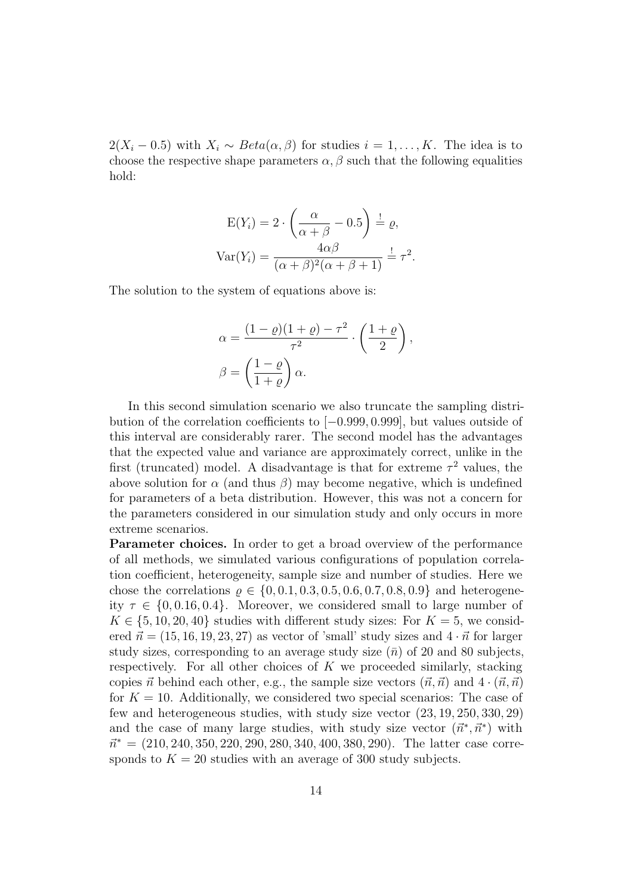$2(X_i - 0.5)$  with  $X_i \sim Beta(\alpha, \beta)$  for studies  $i = 1, ..., K$ . The idea is to choose the respective shape parameters  $\alpha$ ,  $\beta$  such that the following equalities hold:

$$
E(Y_i) = 2 \cdot \left(\frac{\alpha}{\alpha + \beta} - 0.5\right) \stackrel{!}{=} \varrho,
$$
  
 
$$
Var(Y_i) = \frac{4\alpha\beta}{(\alpha + \beta)^2(\alpha + \beta + 1)} \stackrel{!}{=} \tau^2.
$$

The solution to the system of equations above is:

$$
\alpha = \frac{(1 - \varrho)(1 + \varrho) - \tau^2}{\tau^2} \cdot \left(\frac{1 + \varrho}{2}\right),
$$

$$
\beta = \left(\frac{1 - \varrho}{1 + \varrho}\right)\alpha.
$$

In this second simulation scenario we also truncate the sampling distribution of the correlation coefficients to [−0.999, 0.999], but values outside of this interval are considerably rarer. The second model has the advantages that the expected value and variance are approximately correct, unlike in the first (truncated) model. A disadvantage is that for extreme  $\tau^2$  values, the above solution for  $\alpha$  (and thus  $\beta$ ) may become negative, which is undefined for parameters of a beta distribution. However, this was not a concern for the parameters considered in our simulation study and only occurs in more extreme scenarios.

Parameter choices. In order to get a broad overview of the performance of all methods, we simulated various configurations of population correlation coefficient, heterogeneity, sample size and number of studies. Here we chose the correlations  $\rho \in \{0, 0.1, 0.3, 0.5, 0.6, 0.7, 0.8, 0.9\}$  and heterogeneity  $\tau \in \{0, 0.16, 0.4\}$ . Moreover, we considered small to large number of  $K \in \{5, 10, 20, 40\}$  studies with different study sizes: For  $K = 5$ , we considered  $\vec{n} = (15, 16, 19, 23, 27)$  as vector of 'small' study sizes and  $4 \cdot \vec{n}$  for larger study sizes, corresponding to an average study size  $(\bar{n})$  of 20 and 80 subjects, respectively. For all other choices of  $K$  we proceeded similarly, stacking copies  $\vec{n}$  behind each other, e.g., the sample size vectors  $(\vec{n}, \vec{n})$  and  $4 \cdot (\vec{n}, \vec{n})$ for  $K = 10$ . Additionally, we considered two special scenarios: The case of few and heterogeneous studies, with study size vector (23, 19, 250, 330, 29) and the case of many large studies, with study size vector  $(\vec{n}^*, \vec{n}^*)$  with  $\vec{n}^* = (210, 240, 350, 220, 290, 280, 340, 400, 380, 290)$ . The latter case corresponds to  $K = 20$  studies with an average of 300 study subjects.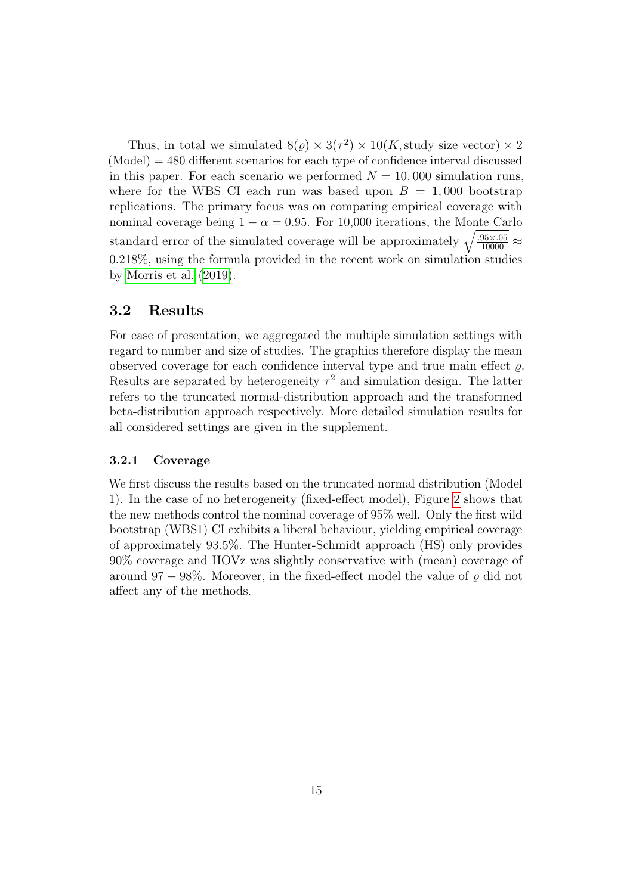Thus, in total we simulated  $8(\varrho) \times 3(\tau^2) \times 10(K,$  study size vector)  $\times 2$  $(Mode) = 480$  different scenarios for each type of confidence interval discussed in this paper. For each scenario we performed  $N = 10,000$  simulation runs, where for the WBS CI each run was based upon  $B = 1,000$  bootstrap replications. The primary focus was on comparing empirical coverage with nominal coverage being  $1 - \alpha = 0.95$ . For 10,000 iterations, the Monte Carlo standard error of the simulated coverage will be approximately  $\sqrt{\frac{.95 \times .05}{10000}} \approx$ 0.218%, using the formula provided in the recent work on simulation studies by [Morris et al.](#page-25-10) [\(2019\)](#page-25-10).

#### 3.2 Results

For ease of presentation, we aggregated the multiple simulation settings with regard to number and size of studies. The graphics therefore display the mean observed coverage for each confidence interval type and true main effect  $\rho$ . Results are separated by heterogeneity  $\tau^2$  and simulation design. The latter refers to the truncated normal-distribution approach and the transformed beta-distribution approach respectively. More detailed simulation results for all considered settings are given in the supplement.

#### 3.2.1 Coverage

We first discuss the results based on the truncated normal distribution (Model 1). In the case of no heterogeneity (fixed-effect model), Figure [2](#page-15-0) shows that the new methods control the nominal coverage of 95% well. Only the first wild bootstrap (WBS1) CI exhibits a liberal behaviour, yielding empirical coverage of approximately 93.5%. The Hunter-Schmidt approach (HS) only provides 90% coverage and HOVz was slightly conservative with (mean) coverage of around 97 – 98%. Moreover, in the fixed-effect model the value of  $\rho$  did not affect any of the methods.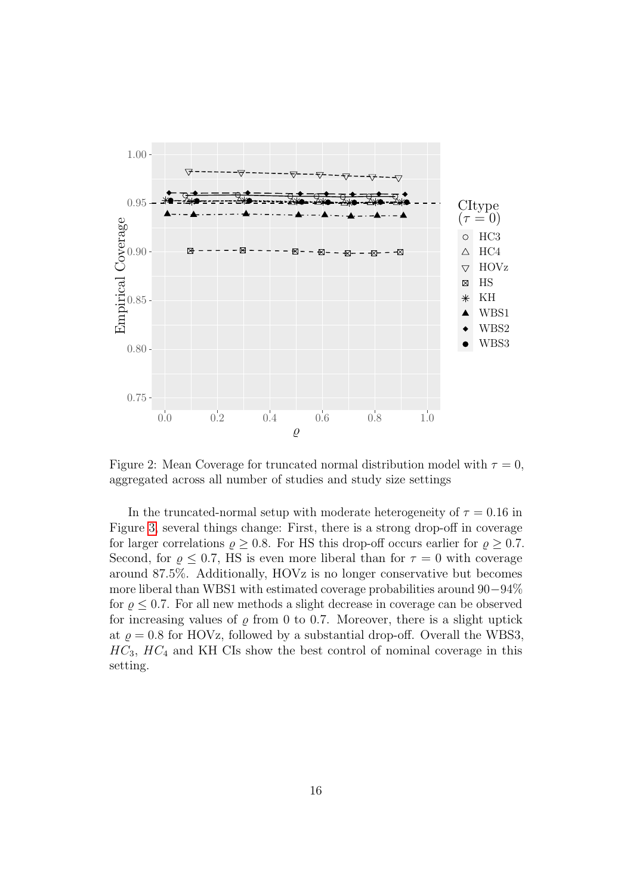

<span id="page-15-0"></span>Figure 2: Mean Coverage for truncated normal distribution model with  $\tau = 0$ , aggregated across all number of studies and study size settings

In the truncated-normal setup with moderate heterogeneity of  $\tau = 0.16$  in Figure [3,](#page-16-0) several things change: First, there is a strong drop-off in coverage for larger correlations  $\rho \geq 0.8$ . For HS this drop-off occurs earlier for  $\rho \geq 0.7$ . Second, for  $\rho \leq 0.7$ , HS is even more liberal than for  $\tau = 0$  with coverage around 87.5%. Additionally, HOVz is no longer conservative but becomes more liberal than WBS1 with estimated coverage probabilities around 90−94% for  $\rho \leq 0.7$ . For all new methods a slight decrease in coverage can be observed for increasing values of  $\varrho$  from 0 to 0.7. Moreover, there is a slight uptick at  $\rho = 0.8$  for HOVz, followed by a substantial drop-off. Overall the WBS3,  $HC_3$ ,  $HC_4$  and KH CIs show the best control of nominal coverage in this setting.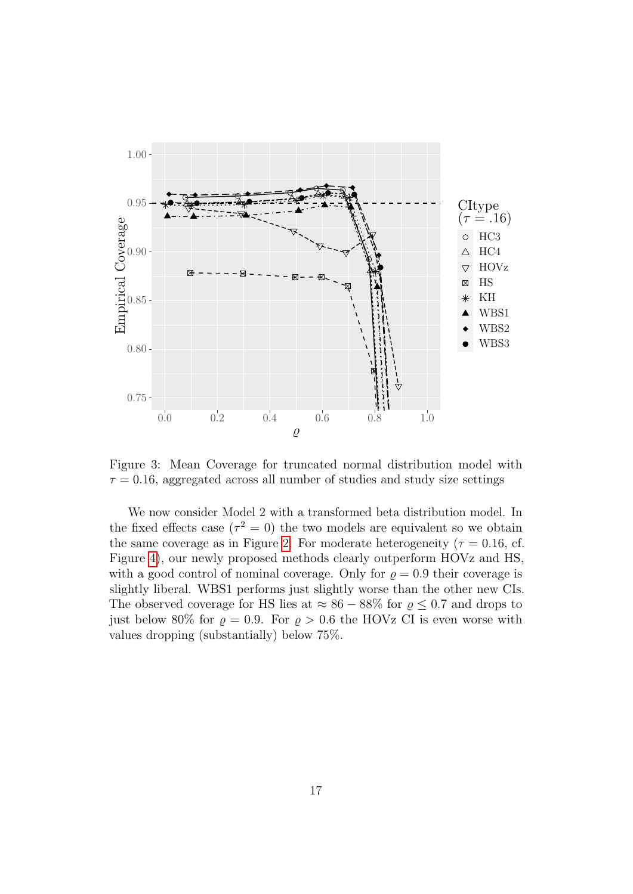

<span id="page-16-0"></span>Figure 3: Mean Coverage for truncated normal distribution model with  $\tau = 0.16$ , aggregated across all number of studies and study size settings

We now consider Model 2 with a transformed beta distribution model. In the fixed effects case  $(\tau^2 = 0)$  the two models are equivalent so we obtain the same coverage as in Figure [2.](#page-15-0) For moderate heterogeneity ( $\tau = 0.16$ , cf. Figure [4\)](#page-17-0), our newly proposed methods clearly outperform HOVz and HS, with a good control of nominal coverage. Only for  $\rho = 0.9$  their coverage is slightly liberal. WBS1 performs just slightly worse than the other new CIs. The observed coverage for HS lies at  $\approx 86 - 88\%$  for  $\rho \leq 0.7$  and drops to just below 80% for  $\rho = 0.9$ . For  $\rho > 0.6$  the HOVz CI is even worse with values dropping (substantially) below 75%.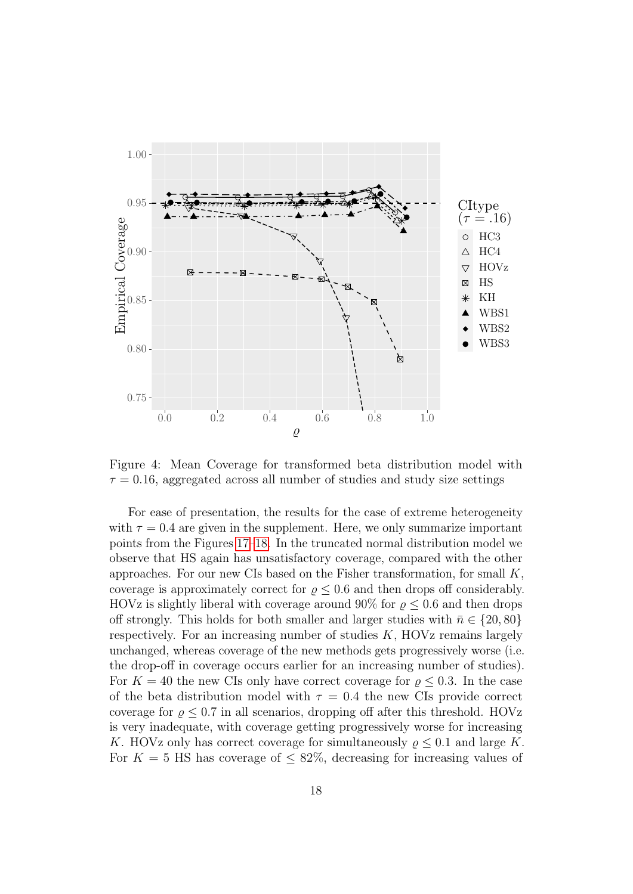

<span id="page-17-0"></span>Figure 4: Mean Coverage for transformed beta distribution model with  $\tau = 0.16$ , aggregated across all number of studies and study size settings

For ease of presentation, the results for the case of extreme heterogeneity with  $\tau = 0.4$  are given in the supplement. Here, we only summarize important points from the Figures [17](#page-40-0)[–18.](#page-41-0) In the truncated normal distribution model we observe that HS again has unsatisfactory coverage, compared with the other approaches. For our new CIs based on the Fisher transformation, for small  $K$ , coverage is approximately correct for  $\rho \leq 0.6$  and then drops off considerably. HOVz is slightly liberal with coverage around 90% for  $\rho \leq 0.6$  and then drops off strongly. This holds for both smaller and larger studies with  $\bar{n} \in \{20, 80\}$ respectively. For an increasing number of studies  $K$ ,  $HOVz$  remains largely unchanged, whereas coverage of the new methods gets progressively worse (i.e. the drop-off in coverage occurs earlier for an increasing number of studies). For  $K = 40$  the new CIs only have correct coverage for  $\rho \leq 0.3$ . In the case of the beta distribution model with  $\tau = 0.4$  the new CIs provide correct coverage for  $\rho \leq 0.7$  in all scenarios, dropping off after this threshold. HOVz is very inadequate, with coverage getting progressively worse for increasing K. HOVz only has correct coverage for simultaneously  $\rho \leq 0.1$  and large K. For  $K = 5$  HS has coverage of  $\leq 82\%$ , decreasing for increasing values of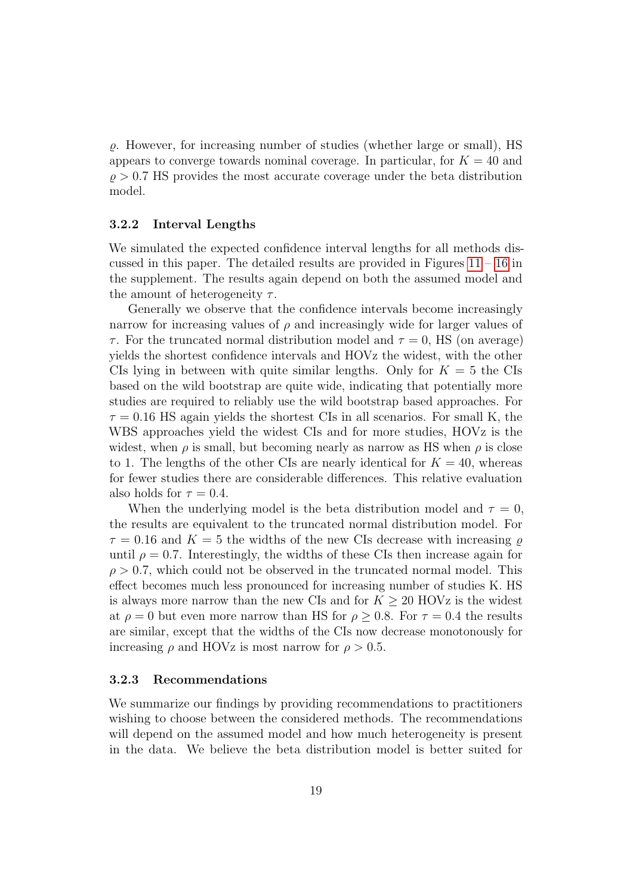$\rho$ . However, for increasing number of studies (whether large or small), HS appears to converge towards nominal coverage. In particular, for  $K = 40$  and  $\rho > 0.7$  HS provides the most accurate coverage under the beta distribution model.

#### 3.2.2 Interval Lengths

We simulated the expected confidence interval lengths for all methods discussed in this paper. The detailed results are provided in Figures  $11 - 16$  $11 - 16$  in the supplement. The results again depend on both the assumed model and the amount of heterogeneity  $\tau$ .

Generally we observe that the confidence intervals become increasingly narrow for increasing values of  $\rho$  and increasingly wide for larger values of  $\tau$ . For the truncated normal distribution model and  $\tau = 0$ , HS (on average) yields the shortest confidence intervals and HOVz the widest, with the other CIs lying in between with quite similar lengths. Only for  $K = 5$  the CIs based on the wild bootstrap are quite wide, indicating that potentially more studies are required to reliably use the wild bootstrap based approaches. For  $\tau = 0.16$  HS again yields the shortest CIs in all scenarios. For small K, the WBS approaches yield the widest CIs and for more studies, HOVz is the widest, when  $\rho$  is small, but becoming nearly as narrow as HS when  $\rho$  is close to 1. The lengths of the other CIs are nearly identical for  $K = 40$ , whereas for fewer studies there are considerable differences. This relative evaluation also holds for  $\tau = 0.4$ .

When the underlying model is the beta distribution model and  $\tau = 0$ , the results are equivalent to the truncated normal distribution model. For  $\tau = 0.16$  and  $K = 5$  the widths of the new CIs decrease with increasing  $\rho$ until  $\rho = 0.7$ . Interestingly, the widths of these CIs then increase again for  $\rho > 0.7$ , which could not be observed in the truncated normal model. This effect becomes much less pronounced for increasing number of studies K. HS is always more narrow than the new CIs and for  $K \geq 20$  HOVz is the widest at  $\rho = 0$  but even more narrow than HS for  $\rho > 0.8$ . For  $\tau = 0.4$  the results are similar, except that the widths of the CIs now decrease monotonously for increasing  $\rho$  and HOVz is most narrow for  $\rho > 0.5$ .

#### <span id="page-18-0"></span>3.2.3 Recommendations

We summarize our findings by providing recommendations to practitioners wishing to choose between the considered methods. The recommendations will depend on the assumed model and how much heterogeneity is present in the data. We believe the beta distribution model is better suited for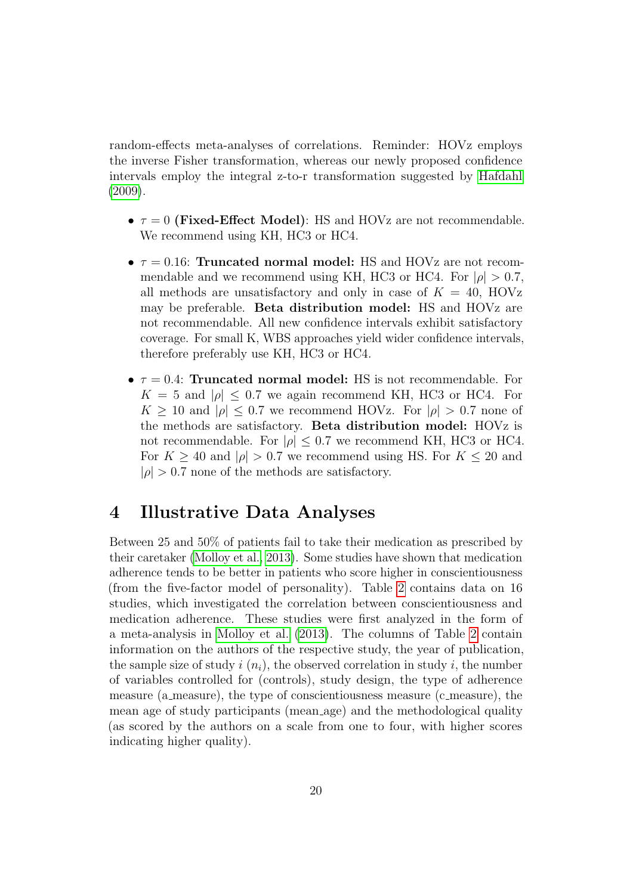random-effects meta-analyses of correlations. Reminder: HOVz employs the inverse Fisher transformation, whereas our newly proposed confidence intervals employ the integral z-to-r transformation suggested by [Hafdahl](#page-23-1)  $(2009).$  $(2009).$ 

- $\tau = 0$  (Fixed-Effect Model): HS and HOVz are not recommendable. We recommend using KH, HC3 or HC4.
- $\tau = 0.16$ : Truncated normal model: HS and HOVz are not recommendable and we recommend using KH, HC3 or HC4. For  $|\rho| > 0.7$ , all methods are unsatisfactory and only in case of  $K = 40$ , HOVz may be preferable. Beta distribution model: HS and HOVz are not recommendable. All new confidence intervals exhibit satisfactory coverage. For small K, WBS approaches yield wider confidence intervals, therefore preferably use KH, HC3 or HC4.
- $\tau = 0.4$ : Truncated normal model: HS is not recommendable. For  $K = 5$  and  $|\rho| \leq 0.7$  we again recommend KH, HC3 or HC4. For  $K \geq 10$  and  $|\rho| \leq 0.7$  we recommend HOVz. For  $|\rho| > 0.7$  none of the methods are satisfactory. Beta distribution model: HOVz is not recommendable. For  $|\rho| \leq 0.7$  we recommend KH, HC3 or HC4. For  $K \geq 40$  and  $|\rho| > 0.7$  we recommend using HS. For  $K \leq 20$  and  $|\rho| > 0.7$  none of the methods are satisfactory.

### <span id="page-19-0"></span>4 Illustrative Data Analyses

Between 25 and 50% of patients fail to take their medication as prescribed by their caretaker [\(Molloy et al., 2013\)](#page-25-4). Some studies have shown that medication adherence tends to be better in patients who score higher in conscientiousness (from the five-factor model of personality). Table [2](#page-20-0) contains data on 16 studies, which investigated the correlation between conscientiousness and medication adherence. These studies were first analyzed in the form of a meta-analysis in [Molloy et al.](#page-25-4) [\(2013\)](#page-25-4). The columns of Table [2](#page-20-0) contain information on the authors of the respective study, the year of publication, the sample size of study i  $(n_i)$ , the observed correlation in study i, the number of variables controlled for (controls), study design, the type of adherence measure (a measure), the type of conscientiousness measure (c measure), the mean age of study participants (mean age) and the methodological quality (as scored by the authors on a scale from one to four, with higher scores indicating higher quality).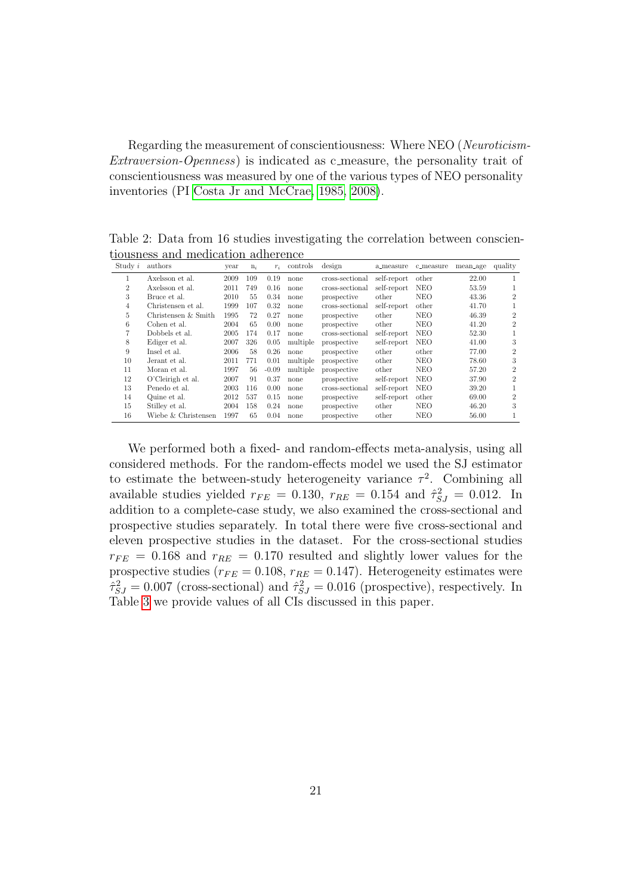Regarding the measurement of conscientiousness: Where NEO (Neuroticism-Extraversion-Openness) is indicated as c measure, the personality trait of conscientiousness was measured by one of the various types of NEO personality inventories (PI [Costa Jr and McCrae, 1985,](#page-23-8) [2008\)](#page-23-9).

<span id="page-20-0"></span>Table 2: Data from 16 studies investigating the correlation between conscientiousness and medication adherence

| Study i        | authors             | year | $n_i$ | $r_i$   | controls | design          | a_measure   | c_measure  | mean_age | quality        |
|----------------|---------------------|------|-------|---------|----------|-----------------|-------------|------------|----------|----------------|
| 1              | Axelsson et al.     | 2009 | 109   | 0.19    | none     | cross-sectional | self-report | other      | 22.00    |                |
| $\overline{2}$ | Axelsson et al.     | 2011 | 749   | 0.16    | none     | cross-sectional | self-report | <b>NEO</b> | 53.59    |                |
| 3              | Bruce et al.        | 2010 | 55    | 0.34    | none     | prospective     | other       | <b>NEO</b> | 43.36    | $\overline{2}$ |
| $\overline{4}$ | Christensen et al.  | 1999 | 107   | 0.32    | none     | cross-sectional | self-report | other      | 41.70    |                |
| 5              | Christensen & Smith | 1995 | 72    | 0.27    | none     | prospective     | other       | <b>NEO</b> | 46.39    | $\overline{2}$ |
| 6              | Cohen et al.        | 2004 | 65    | 0.00    | none     | prospective     | other       | <b>NEO</b> | 41.20    | $\overline{2}$ |
| $\overline{7}$ | Dobbels et al.      | 2005 | 174   | 0.17    | none     | cross-sectional | self-report | NEO        | 52.30    |                |
| 8              | Ediger et al.       | 2007 | 326   | 0.05    | multiple | prospective     | self-report | NEO        | 41.00    | 3              |
| 9              | Insel et al.        | 2006 | 58    | 0.26    | none     | prospective     | other       | other      | 77.00    | $\overline{2}$ |
| 10             | Jerant et al.       | 2011 | 771   | 0.01    | multiple | prospective     | other       | <b>NEO</b> | 78.60    | 3              |
| 11             | Moran et al.        | 1997 | 56    | $-0.09$ | multiple | prospective     | other       | <b>NEO</b> | 57.20    | $\overline{2}$ |
| 12             | O'Cleirigh et al.   | 2007 | 91    | 0.37    | none     | prospective     | self-report | NEO        | 37.90    | $\overline{2}$ |
| 13             | Penedo et al.       | 2003 | 116   | 0.00    | none     | cross-sectional | self-report | NEO        | 39.20    |                |
| 14             | Quine et al.        | 2012 | 537   | 0.15    | none     | prospective     | self-report | other      | 69.00    | $\overline{2}$ |
| 15             | Stilley et al.      | 2004 | 158   | 0.24    | none     | prospective     | other       | <b>NEO</b> | 46.20    | 3              |
| 16             | Wiebe & Christensen | 1997 | 65    | 0.04    | none     | prospective     | other       | <b>NEO</b> | 56.00    |                |

We performed both a fixed- and random-effects meta-analysis, using all considered methods. For the random-effects model we used the SJ estimator to estimate the between-study heterogeneity variance  $\tau^2$ . Combining all available studies yielded  $r_{FE} = 0.130$ ,  $r_{RE} = 0.154$  and  $\hat{\tau}_{SJ}^2 = 0.012$ . In addition to a complete-case study, we also examined the cross-sectional and prospective studies separately. In total there were five cross-sectional and eleven prospective studies in the dataset. For the cross-sectional studies  $r_{FE}$  = 0.168 and  $r_{RE}$  = 0.170 resulted and slightly lower values for the prospective studies ( $r_{FE} = 0.108$ ,  $r_{RE} = 0.147$ ). Heterogeneity estimates were  $\hat{\tau}_{SJ}^2 = 0.007$  (cross-sectional) and  $\hat{\tau}_{SJ}^2 = 0.016$  (prospective), respectively. In Table [3](#page-21-0) we provide values of all CIs discussed in this paper.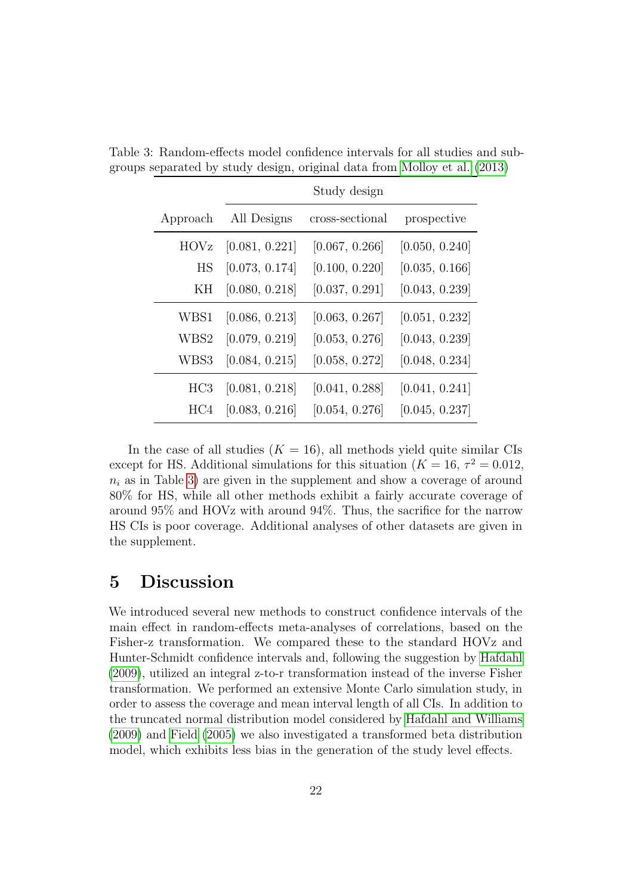<span id="page-21-0"></span>

|                 |                | Study design    |                |
|-----------------|----------------|-----------------|----------------|
| Approach        | All Designs    | cross-sectional | prospective    |
| <b>HOVz</b>     | [0.081, 0.221] | [0.067, 0.266]  | [0.050, 0.240] |
| HS              | [0.073, 0.174] | [0.100, 0.220]  | [0.035, 0.166] |
| ΚH              | [0.080, 0.218] | [0.037, 0.291]  | [0.043, 0.239] |
| WBS1            | [0.086, 0.213] | [0.063, 0.267]  | [0.051, 0.232] |
| WBS2            | [0.079, 0.219] | [0.053, 0.276]  | [0.043, 0.239] |
| WBS3            | [0.084, 0.215] | [0.058, 0.272]  | [0.048, 0.234] |
| HC <sub>3</sub> | [0.081, 0.218] | [0.041, 0.288]  | [0.041, 0.241] |
| HC4             | [0.083, 0.216] | [0.054, 0.276]  | [0.045, 0.237] |

Table 3: Random-effects model confidence intervals for all studies and subgroups separated by study design, original data from [Molloy et al.](#page-25-4) [\(2013\)](#page-25-4)

In the case of all studies  $(K = 16)$ , all methods yield quite similar CIs except for HS. Additional simulations for this situation  $(K = 16, \tau^2 = 0.012,$  $n_i$  as in Table [3\)](#page-21-0) are given in the supplement and show a coverage of around 80% for HS, while all other methods exhibit a fairly accurate coverage of around 95% and HOVz with around 94%. Thus, the sacrifice for the narrow HS CIs is poor coverage. Additional analyses of other datasets are given in the supplement.

### 5 Discussion

We introduced several new methods to construct confidence intervals of the main effect in random-effects meta-analyses of correlations, based on the Fisher-z transformation. We compared these to the standard HOVz and Hunter-Schmidt confidence intervals and, following the suggestion by [Hafdahl](#page-23-1) [\(2009\)](#page-23-1), utilized an integral z-to-r transformation instead of the inverse Fisher transformation. We performed an extensive Monte Carlo simulation study, in order to assess the coverage and mean interval length of all CIs. In addition to the truncated normal distribution model considered by [Hafdahl and Williams](#page-24-0) [\(2009\)](#page-24-0) and [Field](#page-23-0) [\(2005\)](#page-23-0) we also investigated a transformed beta distribution model, which exhibits less bias in the generation of the study level effects.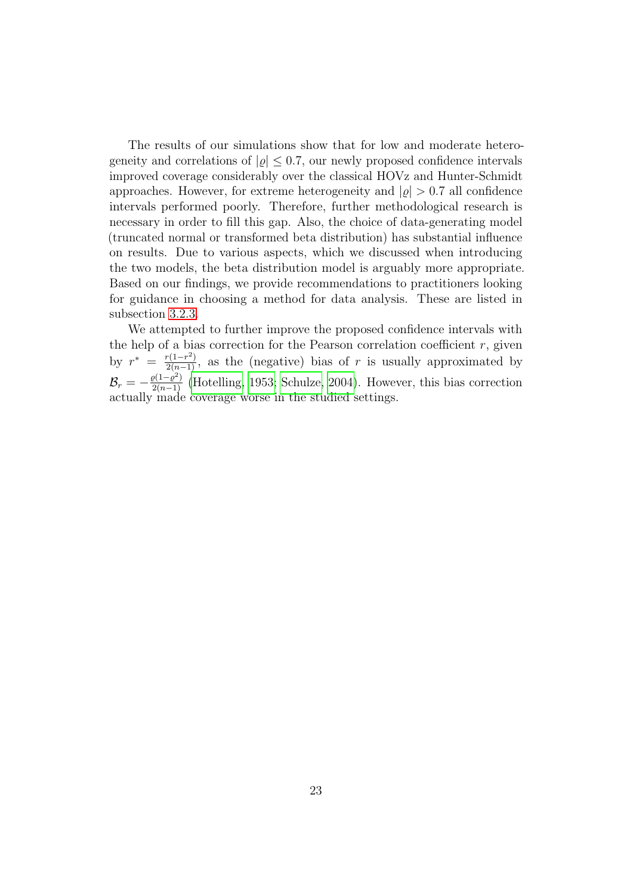The results of our simulations show that for low and moderate heterogeneity and correlations of  $|\rho| \leq 0.7$ , our newly proposed confidence intervals improved coverage considerably over the classical HOVz and Hunter-Schmidt approaches. However, for extreme heterogeneity and  $|\rho| > 0.7$  all confidence intervals performed poorly. Therefore, further methodological research is necessary in order to fill this gap. Also, the choice of data-generating model (truncated normal or transformed beta distribution) has substantial influence on results. Due to various aspects, which we discussed when introducing the two models, the beta distribution model is arguably more appropriate. Based on our findings, we provide recommendations to practitioners looking for guidance in choosing a method for data analysis. These are listed in subsection [3.2.3.](#page-18-0)

We attempted to further improve the proposed confidence intervals with the help of a bias correction for the Pearson correlation coefficient  $r$ , given by  $r^* = \frac{r(1-r^2)}{2(n-1)}$ , as the (negative) bias of r is usually approximated by  $\mathcal{B}_r = -\frac{\varrho(1-\varrho^2)}{2(n-1)}$  [\(Hotelling, 1953;](#page-24-7) [Schulze, 2004\)](#page-25-1). However, this bias correction actually made coverage worse in the studied settings.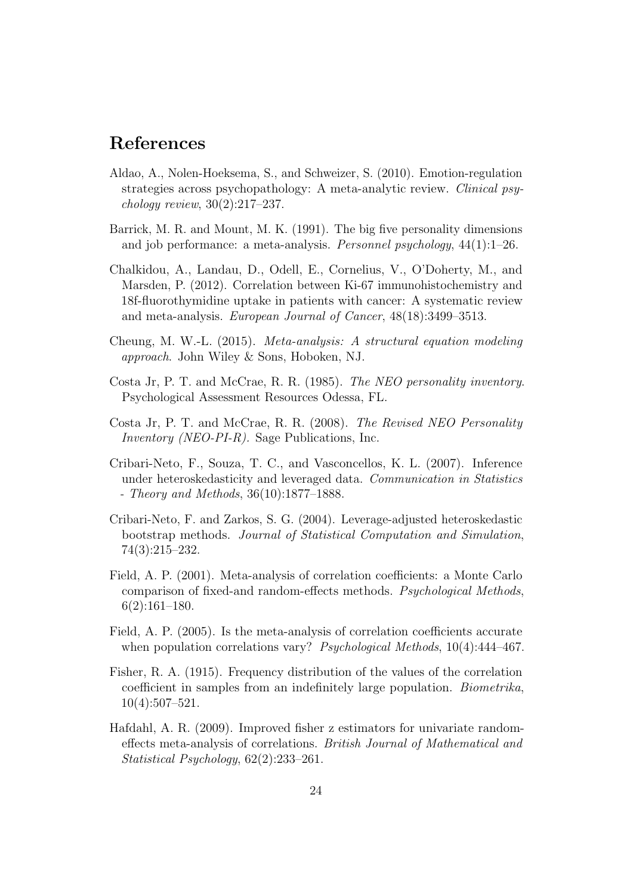### References

- <span id="page-23-3"></span>Aldao, A., Nolen-Hoeksema, S., and Schweizer, S. (2010). Emotion-regulation strategies across psychopathology: A meta-analytic review. Clinical psychology review, 30(2):217–237.
- <span id="page-23-2"></span>Barrick, M. R. and Mount, M. K. (1991). The big five personality dimensions and job performance: a meta-analysis. Personnel psychology, 44(1):1–26.
- <span id="page-23-11"></span>Chalkidou, A., Landau, D., Odell, E., Cornelius, V., O'Doherty, M., and Marsden, P. (2012). Correlation between Ki-67 immunohistochemistry and 18f-fluorothymidine uptake in patients with cancer: A systematic review and meta-analysis. European Journal of Cancer, 48(18):3499–3513.
- <span id="page-23-4"></span>Cheung, M. W.-L. (2015). Meta-analysis: A structural equation modeling approach. John Wiley & Sons, Hoboken, NJ.
- <span id="page-23-8"></span>Costa Jr, P. T. and McCrae, R. R. (1985). The NEO personality inventory. Psychological Assessment Resources Odessa, FL.
- <span id="page-23-9"></span>Costa Jr, P. T. and McCrae, R. R. (2008). The Revised NEO Personality Inventory (NEO-PI-R). Sage Publications, Inc.
- <span id="page-23-7"></span>Cribari-Neto, F., Souza, T. C., and Vasconcellos, K. L. (2007). Inference under heteroskedasticity and leveraged data. Communication in Statistics - Theory and Methods, 36(10):1877–1888.
- <span id="page-23-6"></span>Cribari-Neto, F. and Zarkos, S. G. (2004). Leverage-adjusted heteroskedastic bootstrap methods. Journal of Statistical Computation and Simulation, 74(3):215–232.
- <span id="page-23-5"></span>Field, A. P. (2001). Meta-analysis of correlation coefficients: a Monte Carlo comparison of fixed-and random-effects methods. Psychological Methods, 6(2):161–180.
- <span id="page-23-0"></span>Field, A. P. (2005). Is the meta-analysis of correlation coefficients accurate when population correlations vary? *Psychological Methods*, 10(4):444–467.
- <span id="page-23-10"></span>Fisher, R. A. (1915). Frequency distribution of the values of the correlation coefficient in samples from an indefinitely large population. Biometrika, 10(4):507–521.
- <span id="page-23-1"></span>Hafdahl, A. R. (2009). Improved fisher z estimators for univariate randomeffects meta-analysis of correlations. British Journal of Mathematical and Statistical Psychology, 62(2):233–261.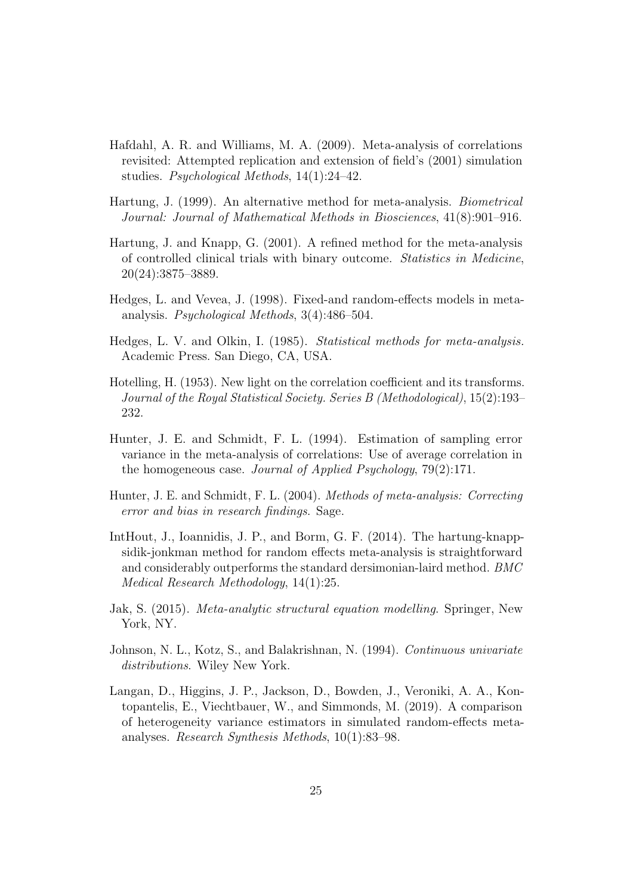- <span id="page-24-0"></span>Hafdahl, A. R. and Williams, M. A. (2009). Meta-analysis of correlations revisited: Attempted replication and extension of field's (2001) simulation studies. Psychological Methods, 14(1):24–42.
- <span id="page-24-5"></span>Hartung, J. (1999). An alternative method for meta-analysis. Biometrical Journal: Journal of Mathematical Methods in Biosciences, 41(8):901–916.
- <span id="page-24-6"></span>Hartung, J. and Knapp, G. (2001). A refined method for the meta-analysis of controlled clinical trials with binary outcome. Statistics in Medicine, 20(24):3875–3889.
- <span id="page-24-9"></span>Hedges, L. and Vevea, J. (1998). Fixed-and random-effects models in metaanalysis. Psychological Methods, 3(4):486–504.
- <span id="page-24-1"></span>Hedges, L. V. and Olkin, I. (1985). Statistical methods for meta-analysis. Academic Press. San Diego, CA, USA.
- <span id="page-24-7"></span>Hotelling, H. (1953). New light on the correlation coefficient and its transforms. Journal of the Royal Statistical Society. Series B (Methodological), 15(2):193– 232.
- <span id="page-24-4"></span>Hunter, J. E. and Schmidt, F. L. (1994). Estimation of sampling error variance in the meta-analysis of correlations: Use of average correlation in the homogeneous case. Journal of Applied Psychology, 79(2):171.
- <span id="page-24-2"></span>Hunter, J. E. and Schmidt, F. L. (2004). Methods of meta-analysis: Correcting error and bias in research findings. Sage.
- <span id="page-24-10"></span>IntHout, J., Ioannidis, J. P., and Borm, G. F. (2014). The hartung-knappsidik-jonkman method for random effects meta-analysis is straightforward and considerably outperforms the standard dersimonian-laird method. BMC Medical Research Methodology, 14(1):25.
- <span id="page-24-3"></span>Jak, S. (2015). Meta-analytic structural equation modelling. Springer, New York, NY.
- <span id="page-24-11"></span>Johnson, N. L., Kotz, S., and Balakrishnan, N. (1994). Continuous univariate distributions. Wiley New York.
- <span id="page-24-8"></span>Langan, D., Higgins, J. P., Jackson, D., Bowden, J., Veroniki, A. A., Kontopantelis, E., Viechtbauer, W., and Simmonds, M. (2019). A comparison of heterogeneity variance estimators in simulated random-effects metaanalyses. Research Synthesis Methods, 10(1):83–98.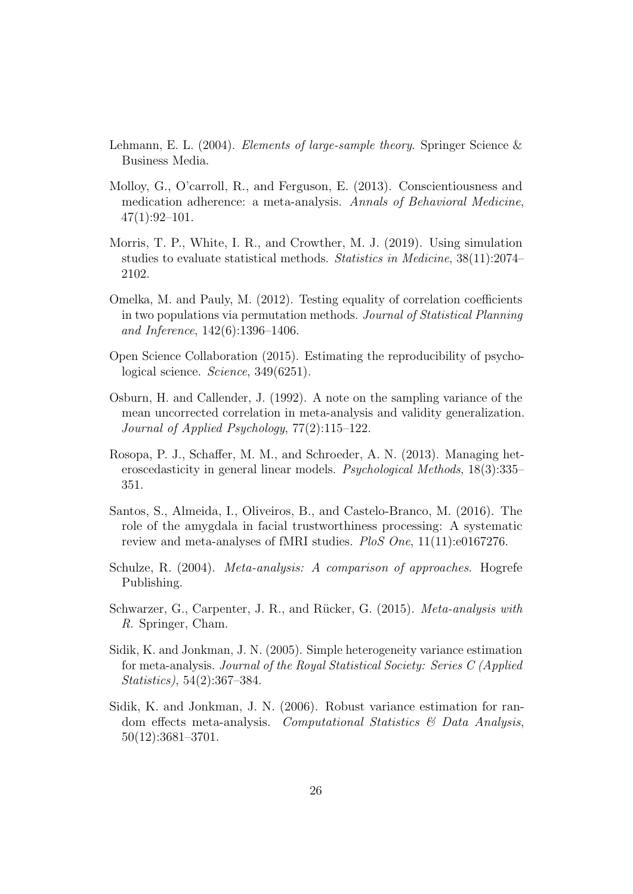- <span id="page-25-7"></span>Lehmann, E. L. (2004). *Elements of large-sample theory*. Springer Science  $\&$ Business Media.
- <span id="page-25-4"></span>Molloy, G., O'carroll, R., and Ferguson, E. (2013). Conscientiousness and medication adherence: a meta-analysis. Annals of Behavioral Medicine,  $47(1):92-101.$
- <span id="page-25-10"></span>Morris, T. P., White, I. R., and Crowther, M. J. (2019). Using simulation studies to evaluate statistical methods. Statistics in Medicine, 38(11):2074– 2102.
- <span id="page-25-8"></span>Omelka, M. and Pauly, M. (2012). Testing equality of correlation coefficients in two populations via permutation methods. Journal of Statistical Planning and Inference, 142(6):1396–1406.
- <span id="page-25-0"></span>Open Science Collaboration (2015). Estimating the reproducibility of psychological science. Science, 349(6251).
- <span id="page-25-2"></span>Osburn, H. and Callender, J. (1992). A note on the sampling variance of the mean uncorrected correlation in meta-analysis and validity generalization. Journal of Applied Psychology, 77(2):115–122.
- <span id="page-25-9"></span>Rosopa, P. J., Schaffer, M. M., and Schroeder, A. N. (2013). Managing heteroscedasticity in general linear models. Psychological Methods, 18(3):335– 351.
- <span id="page-25-11"></span>Santos, S., Almeida, I., Oliveiros, B., and Castelo-Branco, M. (2016). The role of the amygdala in facial trustworthiness processing: A systematic review and meta-analyses of fMRI studies. PloS One, 11(11):e0167276.
- <span id="page-25-1"></span>Schulze, R. (2004). Meta-analysis: A comparison of approaches. Hogrefe Publishing.
- <span id="page-25-5"></span>Schwarzer, G., Carpenter, J. R., and Rücker, G. (2015). Meta-analysis with R. Springer, Cham.
- <span id="page-25-6"></span>Sidik, K. and Jonkman, J. N. (2005). Simple heterogeneity variance estimation for meta-analysis. Journal of the Royal Statistical Society: Series C (Applied Statistics), 54(2):367–384.
- <span id="page-25-3"></span>Sidik, K. and Jonkman, J. N. (2006). Robust variance estimation for random effects meta-analysis. Computational Statistics  $\mathcal{C}'$  Data Analysis, 50(12):3681–3701.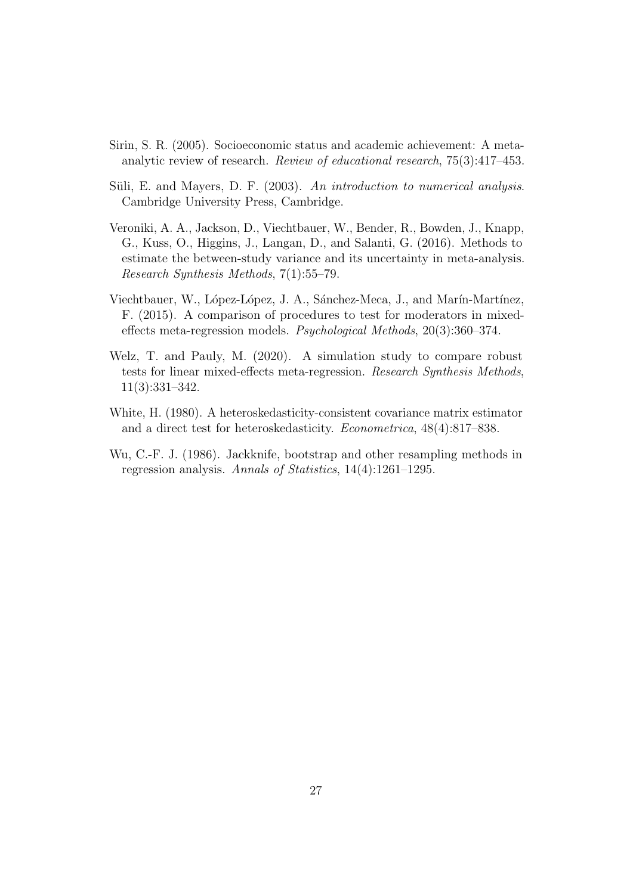- <span id="page-26-0"></span>Sirin, S. R. (2005). Socioeconomic status and academic achievement: A metaanalytic review of research. Review of educational research, 75(3):417–453.
- <span id="page-26-6"></span>Süli, E. and Mayers, D. F.  $(2003)$ . An introduction to numerical analysis. Cambridge University Press, Cambridge.
- <span id="page-26-1"></span>Veroniki, A. A., Jackson, D., Viechtbauer, W., Bender, R., Bowden, J., Knapp, G., Kuss, O., Higgins, J., Langan, D., and Salanti, G. (2016). Methods to estimate the between-study variance and its uncertainty in meta-analysis. Research Synthesis Methods, 7(1):55–79.
- <span id="page-26-5"></span>Viechtbauer, W., López-López, J. A., Sánchez-Meca, J., and Marín-Martínez, F. (2015). A comparison of procedures to test for moderators in mixedeffects meta-regression models. Psychological Methods, 20(3):360–374.
- <span id="page-26-2"></span>Welz, T. and Pauly, M. (2020). A simulation study to compare robust tests for linear mixed-effects meta-regression. Research Synthesis Methods, 11(3):331–342.
- <span id="page-26-4"></span>White, H. (1980). A heteroskedasticity-consistent covariance matrix estimator and a direct test for heteroskedasticity. Econometrica, 48(4):817–838.
- <span id="page-26-3"></span>Wu, C.-F. J. (1986). Jackknife, bootstrap and other resampling methods in regression analysis. Annals of Statistics, 14(4):1261–1295.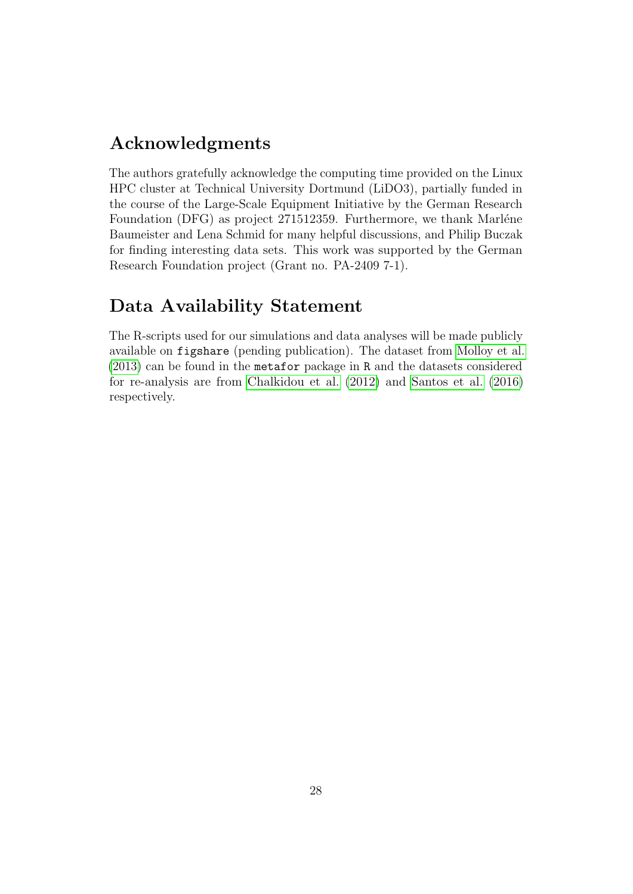### Acknowledgments

The authors gratefully acknowledge the computing time provided on the Linux HPC cluster at Technical University Dortmund (LiDO3), partially funded in the course of the Large-Scale Equipment Initiative by the German Research Foundation (DFG) as project 271512359. Furthermore, we thank Marléne Baumeister and Lena Schmid for many helpful discussions, and Philip Buczak for finding interesting data sets. This work was supported by the German Research Foundation project (Grant no. PA-2409 7-1).

### Data Availability Statement

The R-scripts used for our simulations and data analyses will be made publicly available on figshare (pending publication). The dataset from [Molloy et al.](#page-25-4) [\(2013\)](#page-25-4) can be found in the metafor package in R and the datasets considered for re-analysis are from [Chalkidou et al.](#page-23-11) [\(2012\)](#page-23-11) and [Santos et al.](#page-25-11) [\(2016\)](#page-25-11) respectively.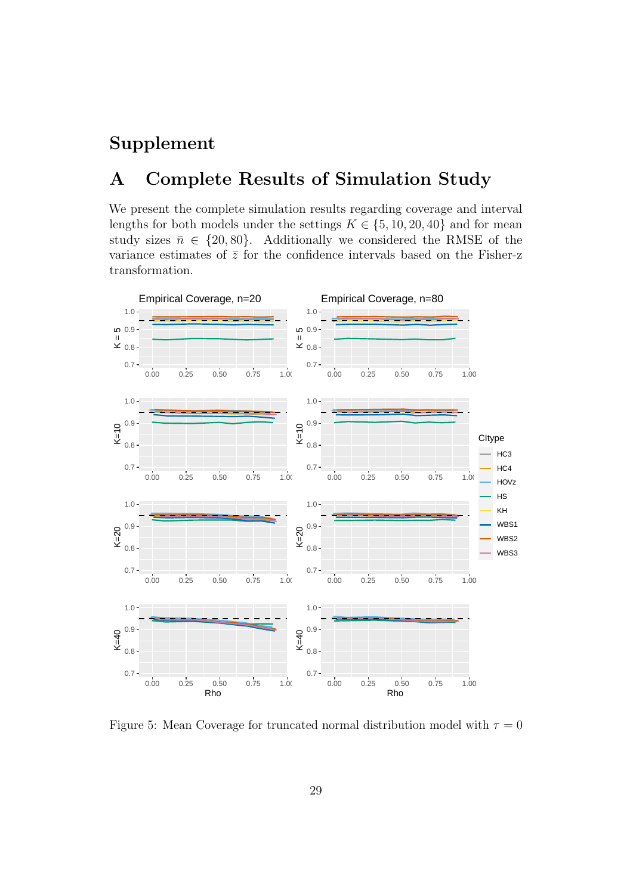## Supplement

### A Complete Results of Simulation Study

We present the complete simulation results regarding coverage and interval lengths for both models under the settings  $K \in \{5, 10, 20, 40\}$  and for mean study sizes  $\bar{n} \in \{20, 80\}$ . Additionally we considered the RMSE of the variance estimates of  $\bar{z}$  for the confidence intervals based on the Fisher-z transformation.



Figure 5: Mean Coverage for truncated normal distribution model with  $\tau = 0$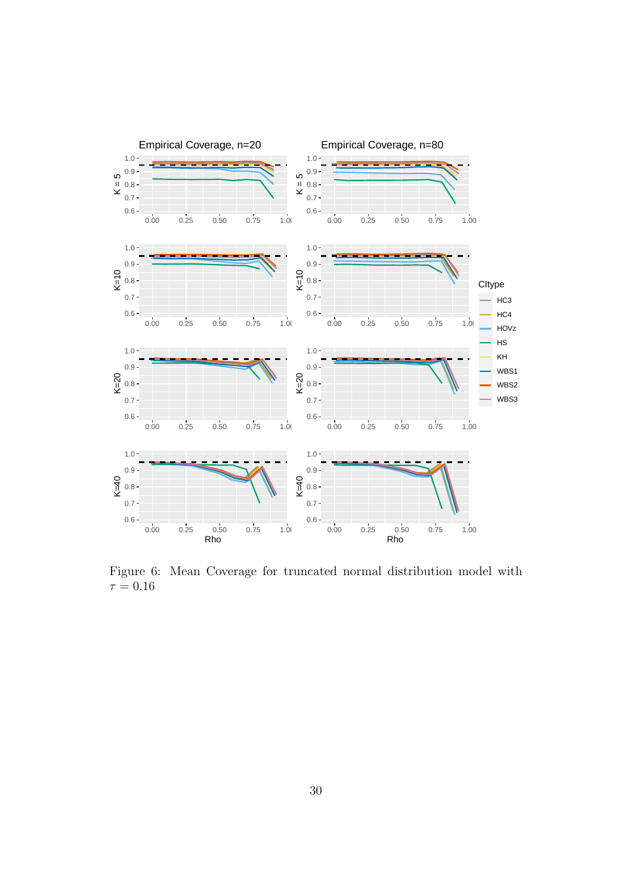

Figure 6: Mean Coverage for truncated normal distribution model with  $\tau = 0.16$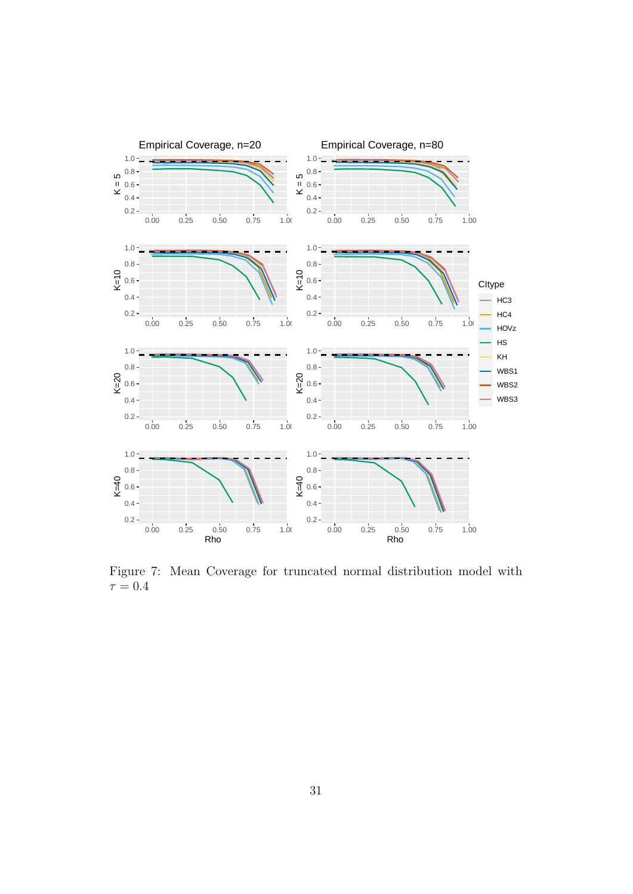

Figure 7: Mean Coverage for truncated normal distribution model with  $\tau = 0.4$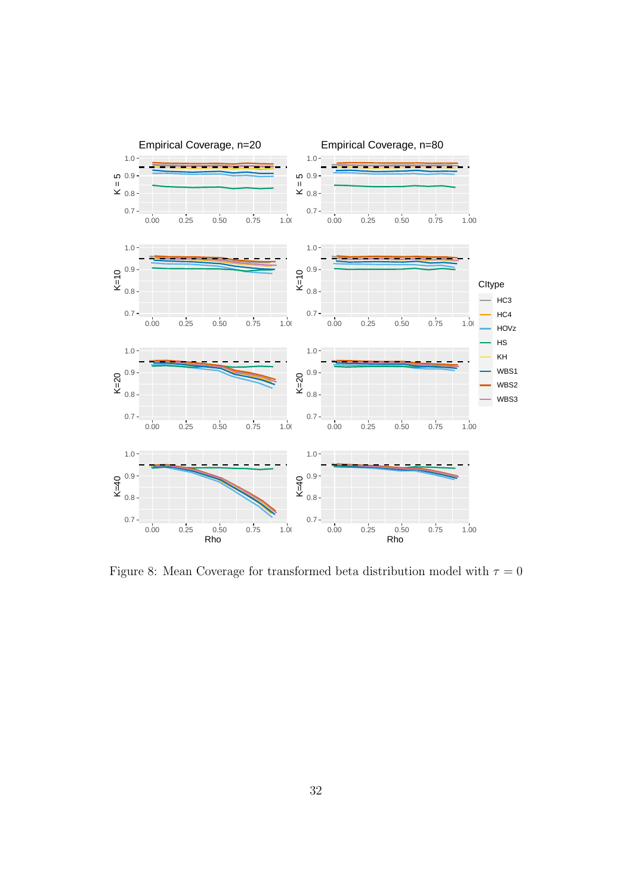

Figure 8: Mean Coverage for transformed beta distribution model with  $\tau=0$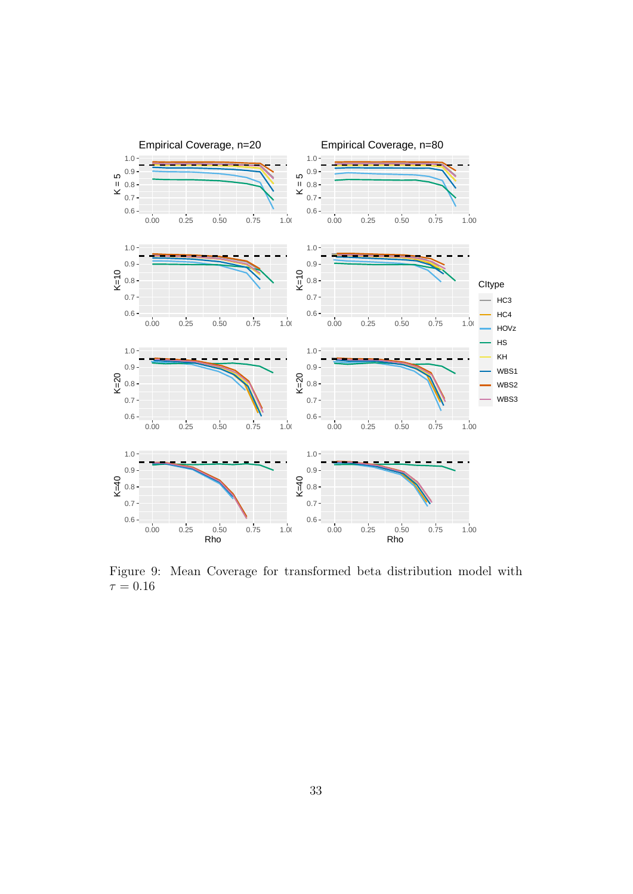

Figure 9: Mean Coverage for transformed beta distribution model with  $\tau = 0.16$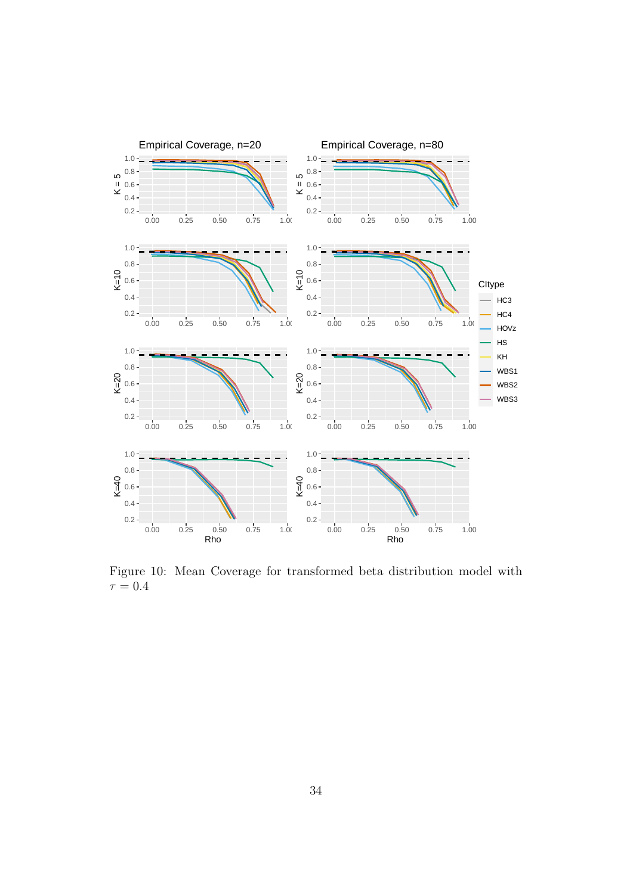

Figure 10: Mean Coverage for transformed beta distribution model with  $\tau = 0.4$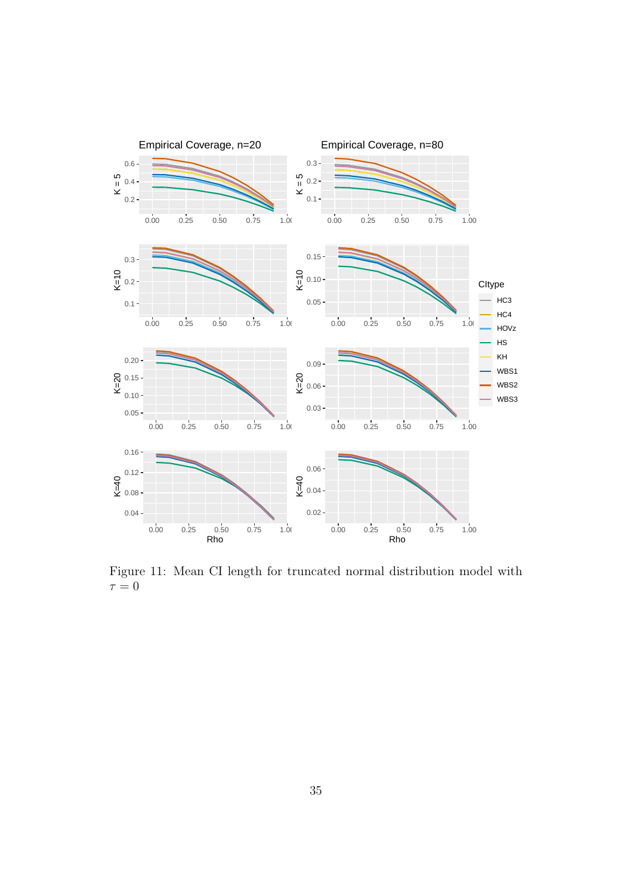

<span id="page-34-0"></span>Figure 11: Mean CI length for truncated normal distribution model with  $\tau=0$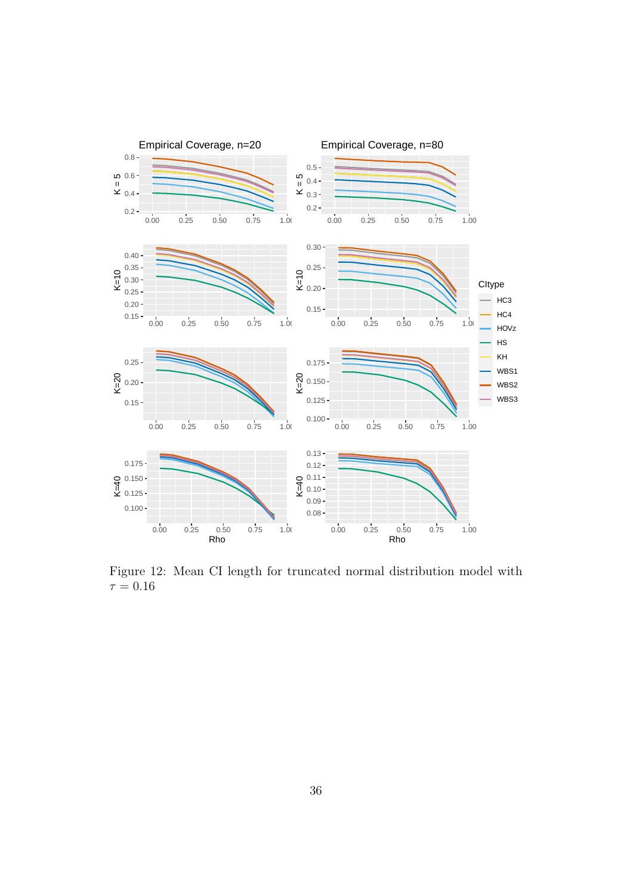

Figure 12: Mean CI length for truncated normal distribution model with  $\tau = 0.16$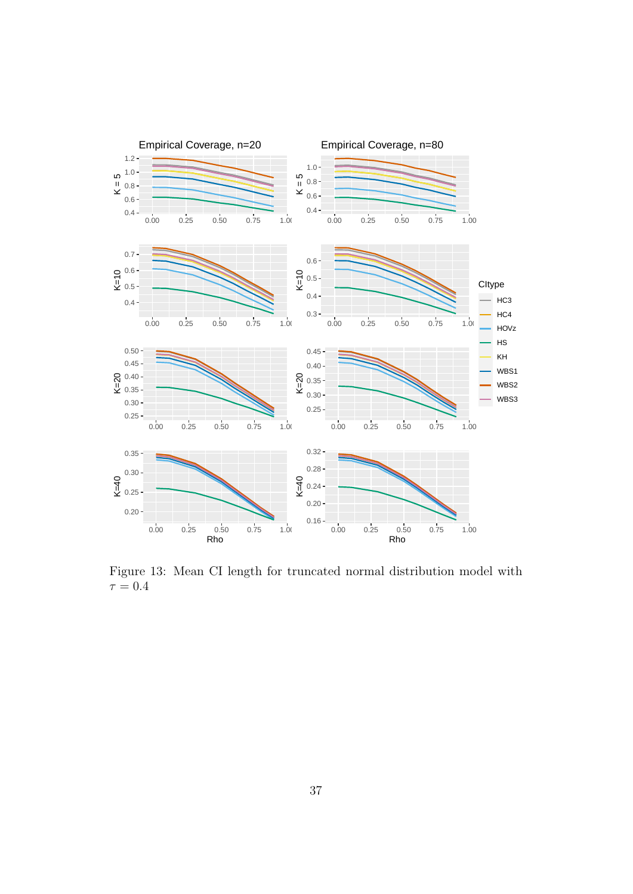

Figure 13: Mean CI length for truncated normal distribution model with  $\tau = 0.4$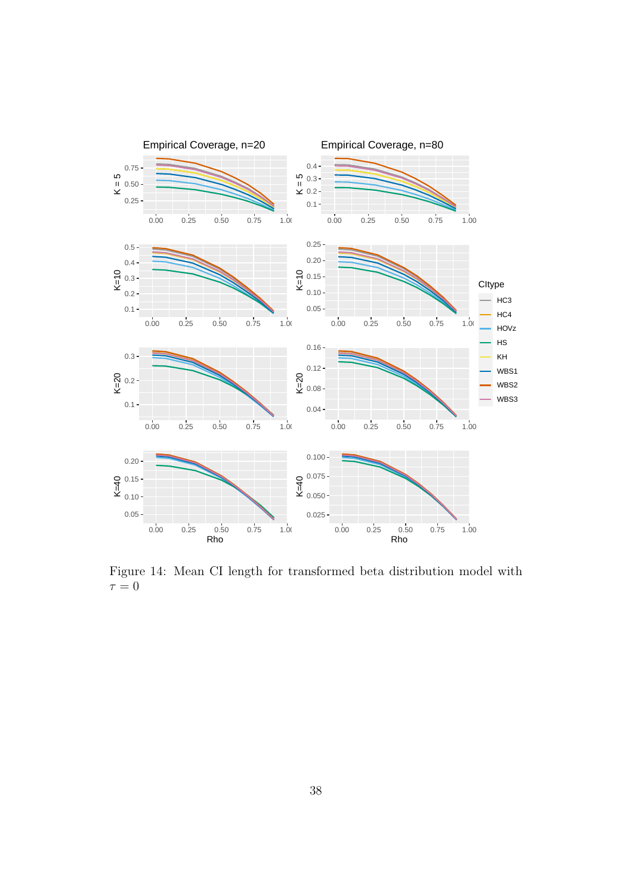

Figure 14: Mean CI length for transformed beta distribution model with  $\tau = 0$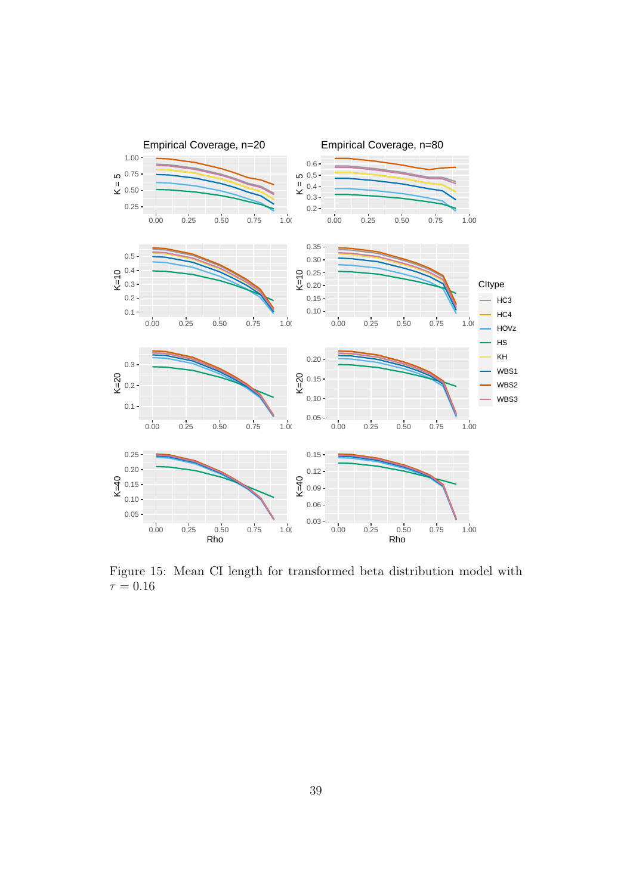

Figure 15: Mean CI length for transformed beta distribution model with  $\tau=0.16$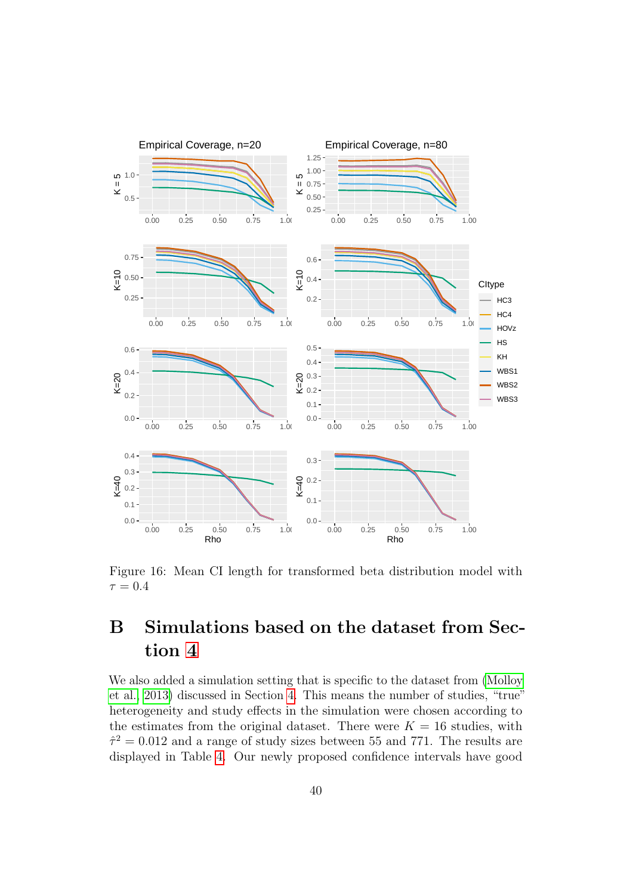

<span id="page-39-0"></span>Figure 16: Mean CI length for transformed beta distribution model with  $\tau = 0.4$ 

# B Simulations based on the dataset from Section [4](#page-19-0)

We also added a simulation setting that is specific to the dataset from [\(Molloy](#page-25-4) [et al., 2013\)](#page-25-4) discussed in Section [4.](#page-19-0) This means the number of studies, "true" heterogeneity and study effects in the simulation were chosen according to the estimates from the original dataset. There were  $K = 16$  studies, with  $\hat{\tau}^2 = 0.012$  and a range of study sizes between 55 and 771. The results are displayed in Table [4.](#page-40-1) Our newly proposed confidence intervals have good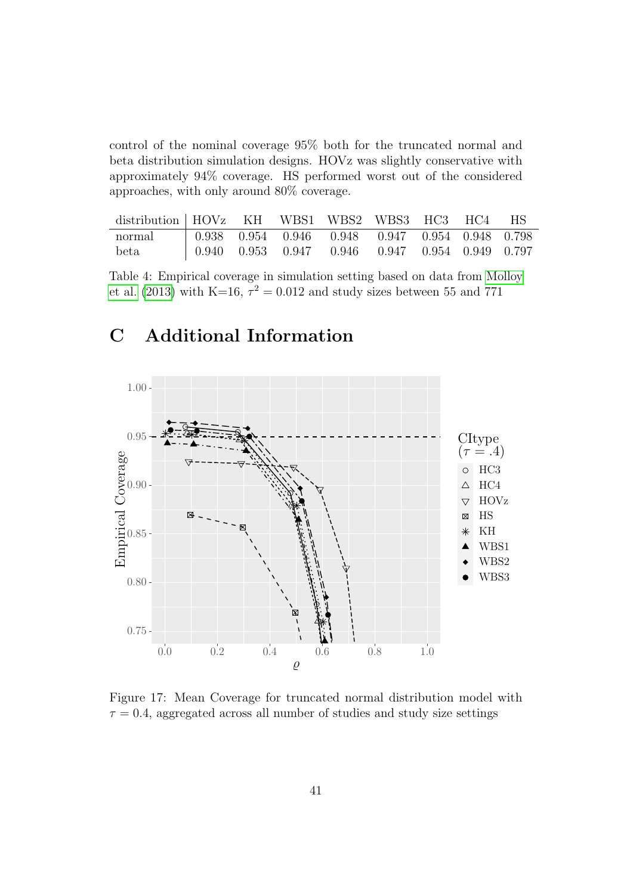control of the nominal coverage 95% both for the truncated normal and beta distribution simulation designs. HOVz was slightly conservative with approximately 94% coverage. HS performed worst out of the considered approaches, with only around 80% coverage.

| distribution HOVz KH WBS1 WBS2 WBS3 HC3 HC4 HS |  |                                                         |  |  |
|------------------------------------------------|--|---------------------------------------------------------|--|--|
| normal                                         |  | $\vert$ 0.938 0.954 0.946 0.948 0.947 0.954 0.948 0.798 |  |  |
| beta                                           |  | $\vert$ 0.940 0.953 0.947 0.946 0.947 0.954 0.949 0.797 |  |  |

<span id="page-40-1"></span>Table 4: Empirical coverage in simulation setting based on data from [Molloy](#page-25-4) [et al.](#page-25-4) [\(2013\)](#page-25-4) with K=16,  $\tau^2 = 0.012$  and study sizes between 55 and 771

# C Additional Information



<span id="page-40-0"></span>Figure 17: Mean Coverage for truncated normal distribution model with  $\tau = 0.4$ , aggregated across all number of studies and study size settings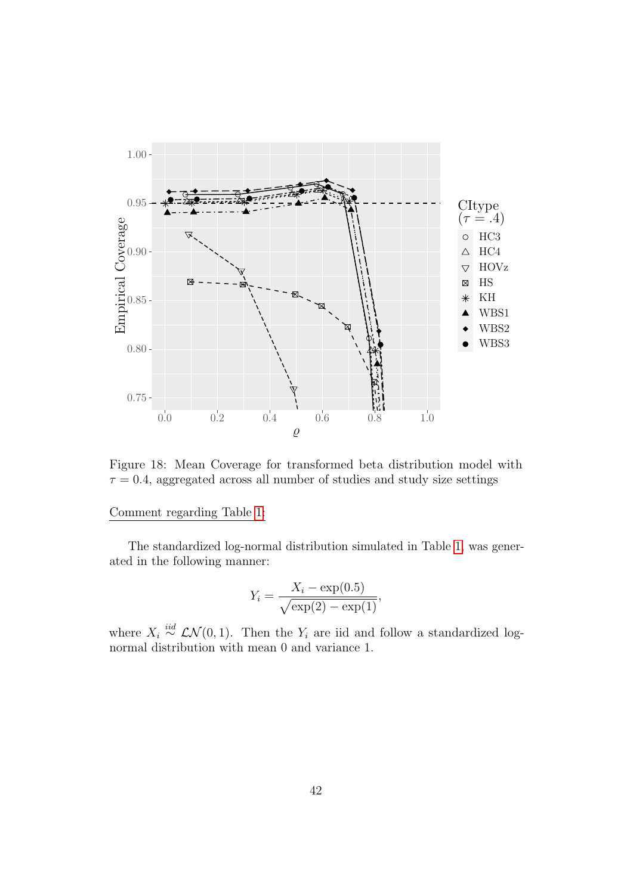

<span id="page-41-0"></span>Figure 18: Mean Coverage for transformed beta distribution model with  $\tau = 0.4$ , aggregated across all number of studies and study size settings

### Comment regarding Table [1:](#page-6-0)

The standardized log-normal distribution simulated in Table [1,](#page-6-0) was generated in the following manner:

$$
Y_i = \frac{X_i - \exp(0.5)}{\sqrt{\exp(2) - \exp(1)}}
$$

,

where  $X_i \stackrel{iid}{\sim} \mathcal{LN}(0, 1)$ . Then the  $Y_i$  are iid and follow a standardized lognormal distribution with mean 0 and variance 1.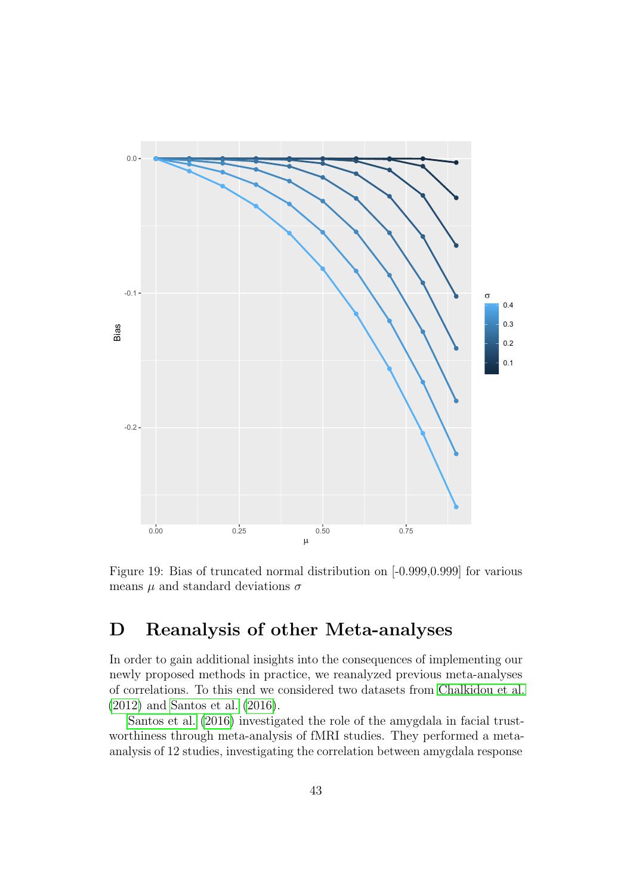

<span id="page-42-0"></span>Figure 19: Bias of truncated normal distribution on [-0.999,0.999] for various means  $\mu$  and standard deviations  $\sigma$ 

# D Reanalysis of other Meta-analyses

In order to gain additional insights into the consequences of implementing our newly proposed methods in practice, we reanalyzed previous meta-analyses of correlations. To this end we considered two datasets from [Chalkidou et al.](#page-23-11) [\(2012\)](#page-23-11) and [Santos et al.](#page-25-11) [\(2016\)](#page-25-11).

[Santos et al.](#page-25-11) [\(2016\)](#page-25-11) investigated the role of the amygdala in facial trustworthiness through meta-analysis of fMRI studies. They performed a metaanalysis of 12 studies, investigating the correlation between amygdala response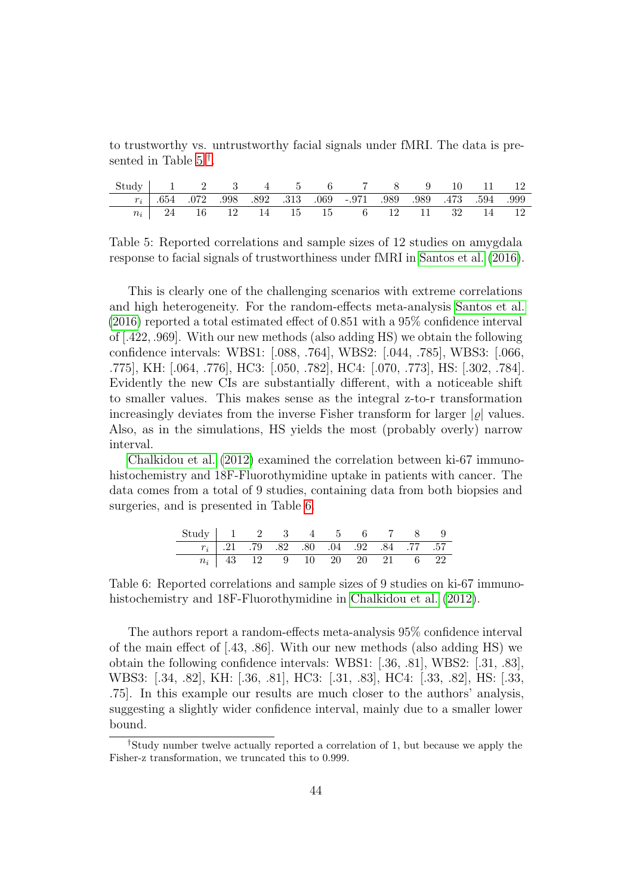to trustworthy vs. untrustworthy facial signals under fMRI. The data is pre-sented in Table [5](#page-43-0)<sup>[†](#page-43-1)</sup>.

| Study   1 2 3 4 5 6 7 8 9 10 11 12                                                                                                  |  |  |  |                                          |  |  |  |
|-------------------------------------------------------------------------------------------------------------------------------------|--|--|--|------------------------------------------|--|--|--|
| $\begin{array}{ccccccccc}\n & r_i & .654 & .072 & .998 & .892 & .313 & .069 & .971 & .989 & .989 & .473 & .594 & .999\n\end{array}$ |  |  |  |                                          |  |  |  |
|                                                                                                                                     |  |  |  | $n_i$ 24 16 12 14 15 15 6 12 11 32 14 12 |  |  |  |

<span id="page-43-0"></span>Table 5: Reported correlations and sample sizes of 12 studies on amygdala response to facial signals of trustworthiness under fMRI in [Santos et al.](#page-25-11) [\(2016\)](#page-25-11).

This is clearly one of the challenging scenarios with extreme correlations and high heterogeneity. For the random-effects meta-analysis [Santos et al.](#page-25-11) [\(2016\)](#page-25-11) reported a total estimated effect of 0.851 with a 95% confidence interval of [.422, .969]. With our new methods (also adding HS) we obtain the following confidence intervals: WBS1: [.088, .764], WBS2: [.044, .785], WBS3: [.066, .775], KH: [.064, .776], HC3: [.050, .782], HC4: [.070, .773], HS: [.302, .784]. Evidently the new CIs are substantially different, with a noticeable shift to smaller values. This makes sense as the integral z-to-r transformation increasingly deviates from the inverse Fisher transform for larger  $|\rho|$  values. Also, as in the simulations, HS yields the most (probably overly) narrow interval.

[Chalkidou et al.](#page-23-11) [\(2012\)](#page-23-11) examined the correlation between ki-67 immunohistochemistry and 18F-Fluorothymidine uptake in patients with cancer. The data comes from a total of 9 studies, containing data from both biopsies and surgeries, and is presented in Table [6.](#page-43-2)

<span id="page-43-2"></span>

| Study   1 2 3 4 5 6 7 8 9 |                                           |  |  |  |  |
|---------------------------|-------------------------------------------|--|--|--|--|
|                           | $r_i$ .21 .79 .82 .80 .04 .92 .84 .77 .57 |  |  |  |  |
|                           | $n_i$   43 12 9 10 20 20 21 6 22          |  |  |  |  |

Table 6: Reported correlations and sample sizes of 9 studies on ki-67 immunohistochemistry and 18F-Fluorothymidine in [Chalkidou et al.](#page-23-11) [\(2012\)](#page-23-11).

The authors report a random-effects meta-analysis 95% confidence interval of the main effect of [.43, .86]. With our new methods (also adding HS) we obtain the following confidence intervals: WBS1: [.36, .81], WBS2: [.31, .83], WBS3: [.34, .82], KH: [.36, .81], HC3: [.31, .83], HC4: [.33, .82], HS: [.33, .75]. In this example our results are much closer to the authors' analysis, suggesting a slightly wider confidence interval, mainly due to a smaller lower bound.

<span id="page-43-1"></span><sup>†</sup>Study number twelve actually reported a correlation of 1, but because we apply the Fisher-z transformation, we truncated this to 0.999.